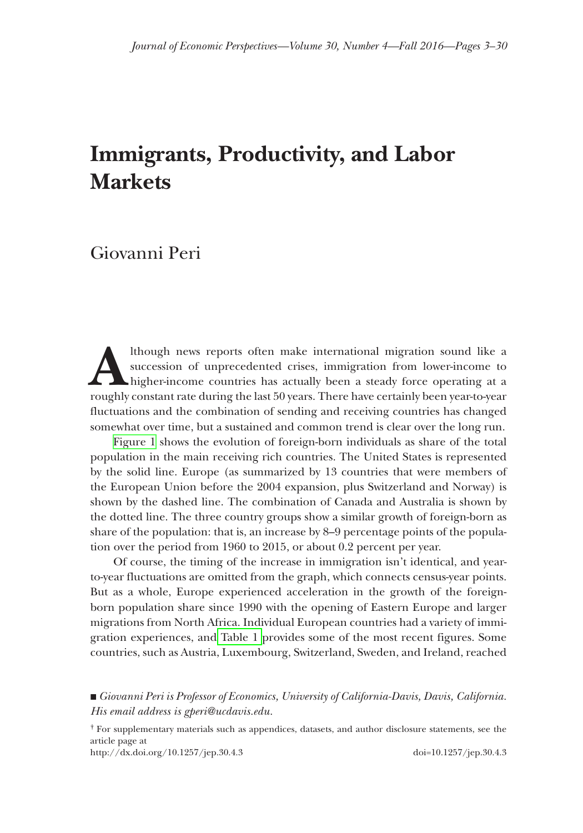# **Immigrants, Productivity, and Labor Markets**

## Giovanni Peri

Ithough news reports often make international migration sound like a succession of unprecedented crises, immigration from lower-income to higher-income countries has actually been a steady force operating at a roughly cons succession of unprecedented crises, immigration from lower-income to higher-income countries has actually been a steady force operating at a roughly constant rate during the last 50 years. There have certainly been year-to-year fluctuations and the combination of sending and receiving countries has changed somewhat over time, but a sustained and common trend is clear over the long run.

[Figure 1](#page-1-0) shows the evolution of foreign-born individuals as share of the total population in the main receiving rich countries. The United States is represented by the solid line. Europe (as summarized by 13 countries that were members of the European Union before the 2004 expansion, plus Switzerland and Norway) is shown by the dashed line. The combination of Canada and Australia is shown by the dotted line. The three country groups show a similar growth of foreign-born as share of the population: that is, an increase by 8–9 percentage points of the population over the period from 1960 to 2015, or about 0.2 percent per year.

Of course, the timing of the increase in immigration isn't identical, and yearto-year fluctuations are omitted from the graph, which connects census-year points. But as a whole, Europe experienced acceleration in the growth of the foreignborn population share since 1990 with the opening of Eastern Europe and larger migrations from North Africa. Individual European countries had a variety of immigration experiences, and [Table 1](#page-2-0) provides some of the most recent figures. Some countries, such as Austria, Luxembourg, Switzerland, Sweden, and Ireland, reached

■ *Giovanni Peri is Professor of Economics, University of California-Davis, Davis, California. His email address is gperi@ucdavis.edu.*

† For supplementary materials such as appendices, datasets, and author disclosure statements, see the article page at

http://dx.doi.org/10.1257/jep.30.4.3 doi=10.1257/jep.30.4.3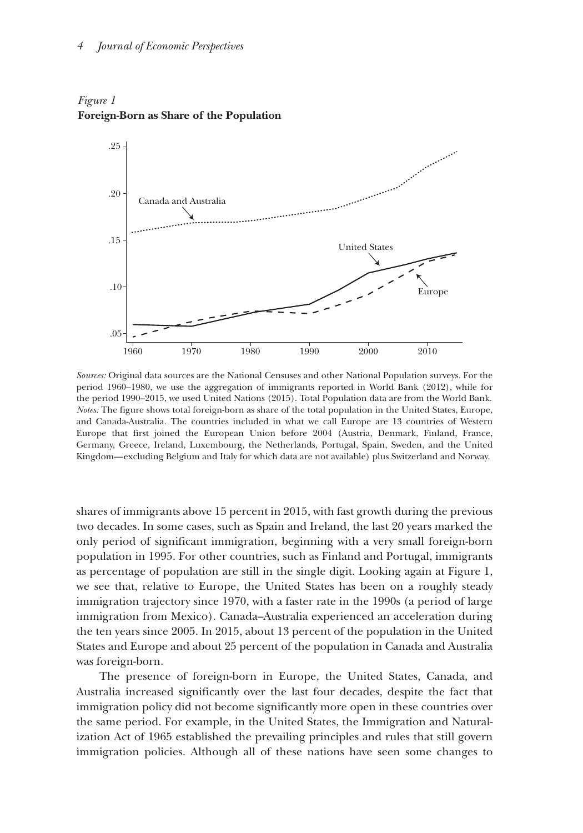

<span id="page-1-0"></span>*Figure 1* **Foreign-Born as Share of the Population**

*Sources:* Original data sources are the National Censuses and other National Population surveys. For the period 1960–1980, we use the aggregation of immigrants reported in World Bank (2012), while for the period 1990–2015, we used United Nations (2015). Total Population data are from the World Bank. *Notes:* The figure shows total foreign-born as share of the total population in the United States, Europe, and Canada-Australia. The countries included in what we call Europe are 13 countries of Western Europe that first joined the European Union before 2004 (Austria, Denmark, Finland, France, Germany, Greece, Ireland, Luxembourg, the Netherlands, Portugal, Spain, Sweden, and the United Kingdom—excluding Belgium and Italy for which data are not available) plus Switzerland and Norway.

shares of immigrants above 15 percent in 2015, with fast growth during the previous two decades. In some cases, such as Spain and Ireland, the last 20 years marked the only period of significant immigration, beginning with a very small foreign-born population in 1995. For other countries, such as Finland and Portugal, immigrants as percentage of population are still in the single digit. Looking again at Figure 1, we see that, relative to Europe, the United States has been on a roughly steady immigration trajectory since 1970, with a faster rate in the 1990s (a period of large immigration from Mexico). Canada–Australia experienced an acceleration during the ten years since 2005. In 2015, about 13 percent of the population in the United States and Europe and about 25 percent of the population in Canada and Australia was foreign-born.

The presence of foreign-born in Europe, the United States, Canada, and Australia increased significantly over the last four decades, despite the fact that immigration policy did not become significantly more open in these countries over the same period. For example, in the United States, the Immigration and Naturalization Act of 1965 established the prevailing principles and rules that still govern immigration policies. Although all of these nations have seen some changes to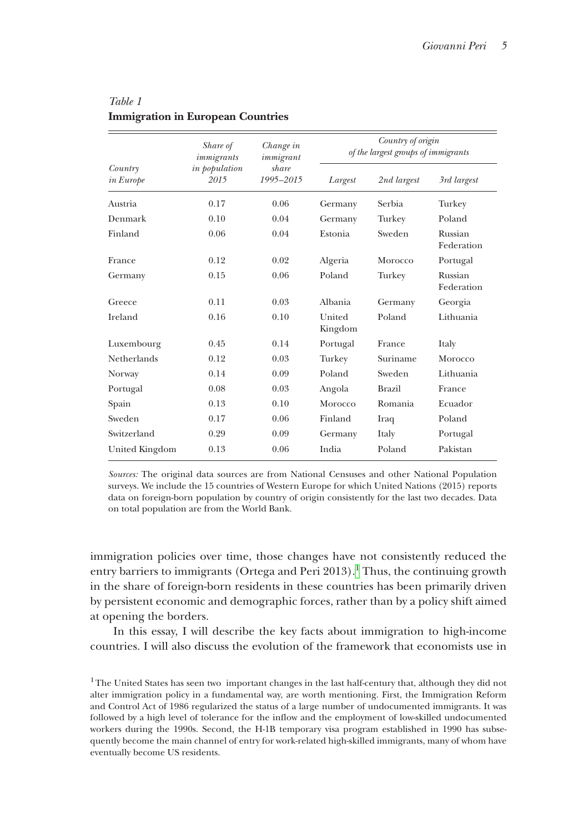| Country<br><i>in Europe</i> | Share of<br>immigrants<br>in population<br>2015 | Change in<br>immigrant<br>share<br>$1995 - 2015$ | Country of origin<br>of the largest groups of immigrants |               |                       |
|-----------------------------|-------------------------------------------------|--------------------------------------------------|----------------------------------------------------------|---------------|-----------------------|
|                             |                                                 |                                                  | Largest                                                  | 2nd largest   | 3rd largest           |
| Austria                     | 0.17                                            | 0.06                                             | Germany                                                  | Serbia        | Turkey                |
| Denmark                     | 0.10                                            | 0.04                                             | Germany                                                  | Turkey        | Poland                |
| Finland                     | 0.06                                            | 0.04                                             | Estonia                                                  | Sweden        | Russian<br>Federation |
| France                      | 0.12                                            | 0.02                                             | Algeria                                                  | Morocco       | Portugal              |
| Germany                     | 0.15                                            | 0.06                                             | Poland                                                   | Turkey        | Russian<br>Federation |
| Greece                      | 0.11                                            | 0.03                                             | Albania                                                  | Germany       | Georgia               |
| Ireland                     | 0.16                                            | 0.10                                             | United<br>Kingdom                                        | Poland        | Lithuania             |
| Luxembourg                  | 0.45                                            | 0.14                                             | Portugal                                                 | France        | Italy                 |
| <b>Netherlands</b>          | 0.12                                            | 0.03                                             | Turkey                                                   | Suriname      | Morocco               |
| Norway                      | 0.14                                            | 0.09                                             | Poland                                                   | Sweden        | Lithuania             |
| Portugal                    | 0.08                                            | 0.03                                             | Angola                                                   | <b>Brazil</b> | France                |
| Spain                       | 0.13                                            | 0.10                                             | Morocco                                                  | Romania       | Ecuador               |
| Sweden                      | 0.17                                            | 0.06                                             | Finland                                                  | Iraq          | Poland                |
| Switzerland                 | 0.29                                            | 0.09                                             | Germany                                                  | Italy         | Portugal              |
| United Kingdom              | 0.13                                            | 0.06                                             | India                                                    | Poland        | Pakistan              |

## <span id="page-2-0"></span>*Table 1* **Immigration in European Countries**

*Sources:* The original data sources are from National Censuses and other National Population surveys. We include the 15 countries of Western Europe for which United Nations (2015) reports data on foreign-born population by country of origin consistently for the last two decades. Data on total population are from the World Bank.

immigration policies over time, those changes have not consistently reduced the entry barriers to immigrants (Ortega and Peri 2013).<sup>1</sup> Thus, the continuing growth in the share of foreign-born residents in these countries has been primarily driven by persistent economic and demographic forces, rather than by a policy shift aimed at opening the borders.

In this essay, I will describe the key facts about immigration to high-income countries. I will also discuss the evolution of the framework that economists use in

<span id="page-2-1"></span><sup>&</sup>lt;sup>1</sup>The United States has seen two important changes in the last half-century that, although they did not alter immigration policy in a fundamental way, are worth mentioning. First, the Immigration Reform and Control Act of 1986 regularized the status of a large number of undocumented immigrants. It was followed by a high level of tolerance for the inflow and the employment of low-skilled undocumented workers during the 1990s. Second, the H-1B temporary visa program established in 1990 has subsequently become the main channel of entry for work-related high-skilled immigrants, many of whom have eventually become US residents.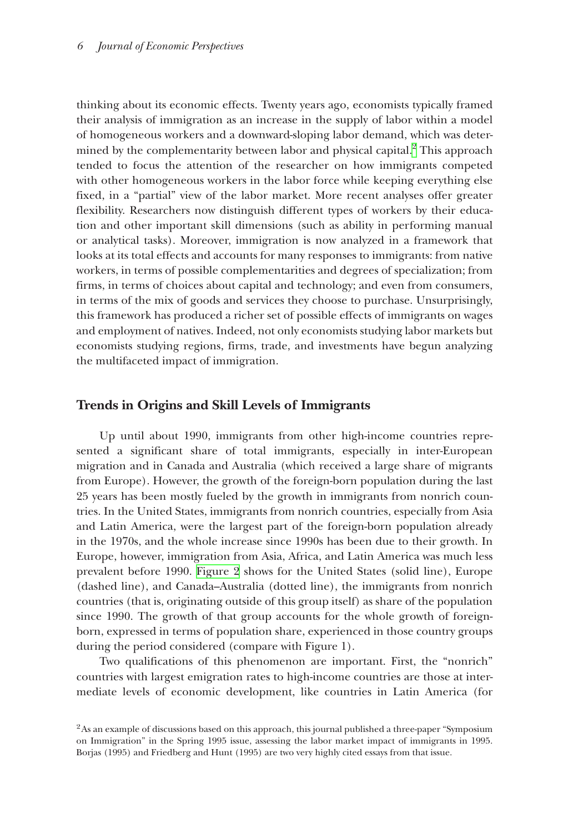thinking about its economic effects. Twenty years ago, economists typically framed their analysis of immigration as an increase in the supply of labor within a model of homogeneous workers and a downward-sloping labor demand, which was determined by the complementarity between labor and physical capital. $^2$  This approach tended to focus the attention of the researcher on how immigrants competed with other homogeneous workers in the labor force while keeping everything else fixed, in a "partial" view of the labor market. More recent analyses offer greater flexibility. Researchers now distinguish different types of workers by their education and other important skill dimensions (such as ability in performing manual or analytical tasks). Moreover, immigration is now analyzed in a framework that looks at its total effects and accounts for many responses to immigrants: from native workers, in terms of possible complementarities and degrees of specialization; from firms, in terms of choices about capital and technology; and even from consumers, in terms of the mix of goods and services they choose to purchase. Unsurprisingly, this framework has produced a richer set of possible effects of immigrants on wages and employment of natives. Indeed, not only economists studying labor markets but economists studying regions, firms, trade, and investments have begun analyzing the multifaceted impact of immigration.

## **Trends in Origins and Skill Levels of Immigrants**

Up until about 1990, immigrants from other high-income countries represented a significant share of total immigrants, especially in inter-European migration and in Canada and Australia (which received a large share of migrants from Europe). However, the growth of the foreign-born population during the last 25 years has been mostly fueled by the growth in immigrants from nonrich countries. In the United States, immigrants from nonrich countries, especially from Asia and Latin America, were the largest part of the foreign-born population already in the 1970s, and the whole increase since 1990s has been due to their growth. In Europe, however, immigration from Asia, Africa, and Latin America was much less prevalent before 1990. [Figure 2](#page-4-0) shows for the United States (solid line), Europe (dashed line), and Canada–Australia (dotted line), the immigrants from nonrich countries (that is, originating outside of this group itself) as share of the population since 1990. The growth of that group accounts for the whole growth of foreignborn, expressed in terms of population share, experienced in those country groups during the period considered (compare with Figure 1).

Two qualifications of this phenomenon are important. First, the "nonrich" countries with largest emigration rates to high-income countries are those at intermediate levels of economic development, like countries in Latin America (for

<span id="page-3-0"></span><sup>&</sup>lt;sup>2</sup>As an example of discussions based on this approach, this journal published a three-paper "Symposium" on Immigration" in the Spring 1995 issue, assessing the labor market impact of immigrants in 1995. Borjas (1995) and Friedberg and Hunt (1995) are two very highly cited essays from that issue.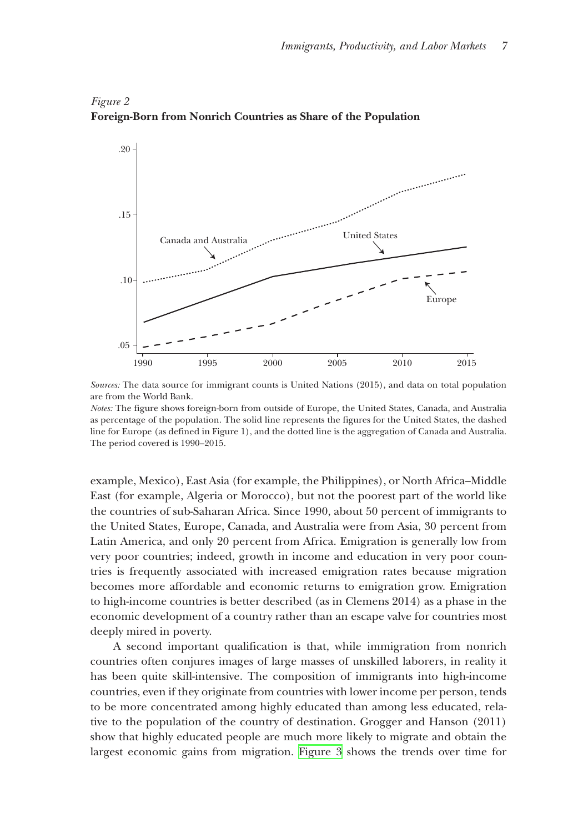

## <span id="page-4-0"></span>*Figure 2* **Foreign-Born from Nonrich Countries as Share of the Population**

*Sources:* The data source for immigrant counts is United Nations (2015), and data on total population are from the World Bank.

*Notes:* The figure shows foreign-born from outside of Europe, the United States, Canada, and Australia as percentage of the population. The solid line represents the figures for the United States, the dashed line for Europe (as defined in Figure 1), and the dotted line is the aggregation of Canada and Australia. The period covered is 1990–2015.

example, Mexico), East Asia (for example, the Philippines), or North Africa–Middle East (for example, Algeria or Morocco), but not the poorest part of the world like the countries of sub-Saharan Africa. Since 1990, about 50 percent of immigrants to the United States, Europe, Canada, and Australia were from Asia, 30 percent from Latin America, and only 20 percent from Africa. Emigration is generally low from very poor countries; indeed, growth in income and education in very poor countries is frequently associated with increased emigration rates because migration becomes more affordable and economic returns to emigration grow. Emigration to high-income countries is better described (as in Clemens 2014) as a phase in the economic development of a country rather than an escape valve for countries most deeply mired in poverty.

A second important qualification is that, while immigration from nonrich countries often conjures images of large masses of unskilled laborers, in reality it has been quite skill-intensive. The composition of immigrants into high-income countries, even if they originate from countries with lower income per person, tends to be more concentrated among highly educated than among less educated, relative to the population of the country of destination. Grogger and Hanson (2011) show that highly educated people are much more likely to migrate and obtain the largest economic gains from migration. [Figure 3](#page-5-0) shows the trends over time for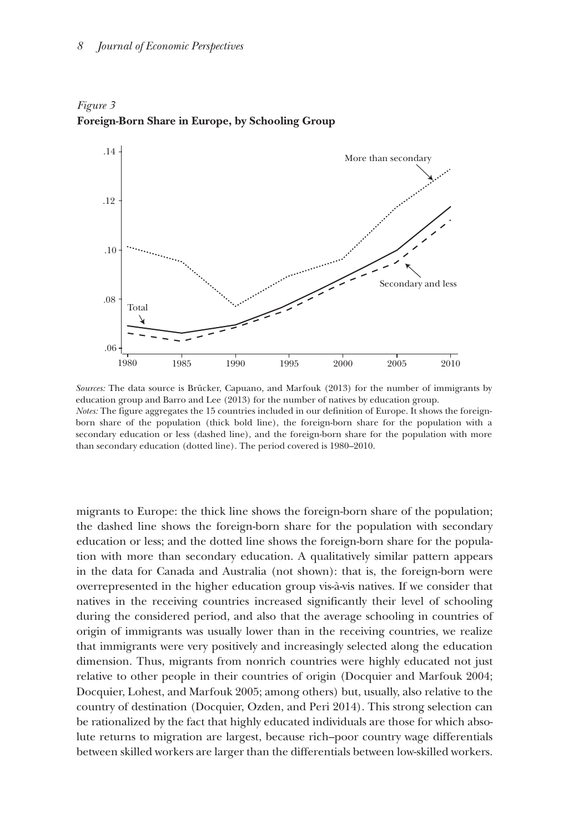

<span id="page-5-0"></span>*Figure 3* **Foreign-Born Share in Europe, by Schooling Group**

migrants to Europe: the thick line shows the foreign-born share of the population; the dashed line shows the foreign-born share for the population with secondary education or less; and the dotted line shows the foreign-born share for the population with more than secondary education. A qualitatively similar pattern appears in the data for Canada and Australia (not shown): that is, the foreign-born were overrepresented in the higher education group vis-à-vis natives. If we consider that natives in the receiving countries increased significantly their level of schooling during the considered period, and also that the average schooling in countries of origin of immigrants was usually lower than in the receiving countries, we realize that immigrants were very positively and increasingly selected along the education dimension. Thus, migrants from nonrich countries were highly educated not just relative to other people in their countries of origin (Docquier and Marfouk 2004; Docquier, Lohest, and Marfouk 2005; among others) but, usually, also relative to the country of destination (Docquier, Ozden, and Peri 2014). This strong selection can be rationalized by the fact that highly educated individuals are those for which absolute returns to migration are largest, because rich–poor country wage differentials between skilled workers are larger than the differentials between low-skilled workers.

*Sources:* The data source is Brücker, Capuano, and Marfouk (2013) for the number of immigrants by education group and Barro and Lee (2013) for the number of natives by education group. *Notes:* The figure aggregates the 15 countries included in our definition of Europe. It shows the foreignborn share of the population (thick bold line), the foreign-born share for the population with a secondary education or less (dashed line), and the foreign-born share for the population with more than secondary education (dotted line). The period covered is 1980–2010.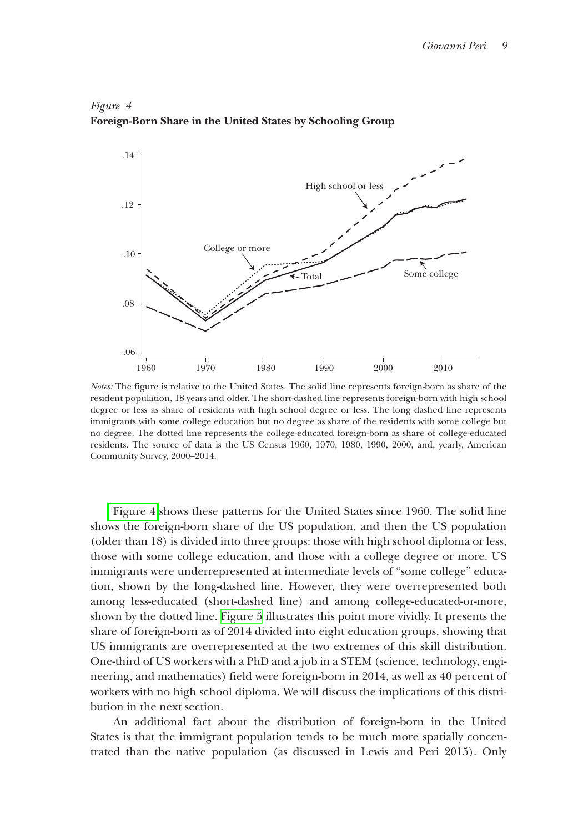

## *Figure 4* **Foreign-Born Share in the United States by Schooling Group**

*Notes:* The figure is relative to the United States. The solid line represents foreign-born as share of the resident population, 18 years and older. The short-dashed line represents foreign-born with high school degree or less as share of residents with high school degree or less. The long dashed line represents immigrants with some college education but no degree as share of the residents with some college but no degree. The dotted line represents the college-educated foreign-born as share of college-educated residents. The source of data is the US Census 1960, 1970, 1980, 1990, 2000, and, yearly, American Community Survey, 2000–2014.

Figure 4 shows these patterns for the United States since 1960. The solid line shows the foreign-born share of the US population, and then the US population (older than 18) is divided into three groups: those with high school diploma or less, those with some college education, and those with a college degree or more. US immigrants were underrepresented at intermediate levels of "some college" education, shown by the long-dashed line. However, they were overrepresented both among less-educated (short-dashed line) and among college-educated-or-more, shown by the dotted line. [Figure 5](#page-7-0) illustrates this point more vividly. It presents the share of foreign-born as of 2014 divided into eight education groups, showing that US immigrants are overrepresented at the two extremes of this skill distribution. One-third of US workers with a PhD and a job in a STEM (science, technology, engineering, and mathematics) field were foreign-born in 2014, as well as 40 percent of workers with no high school diploma. We will discuss the implications of this distribution in the next section.

An additional fact about the distribution of foreign-born in the United States is that the immigrant population tends to be much more spatially concentrated than the native population (as discussed in Lewis and Peri 2015). Only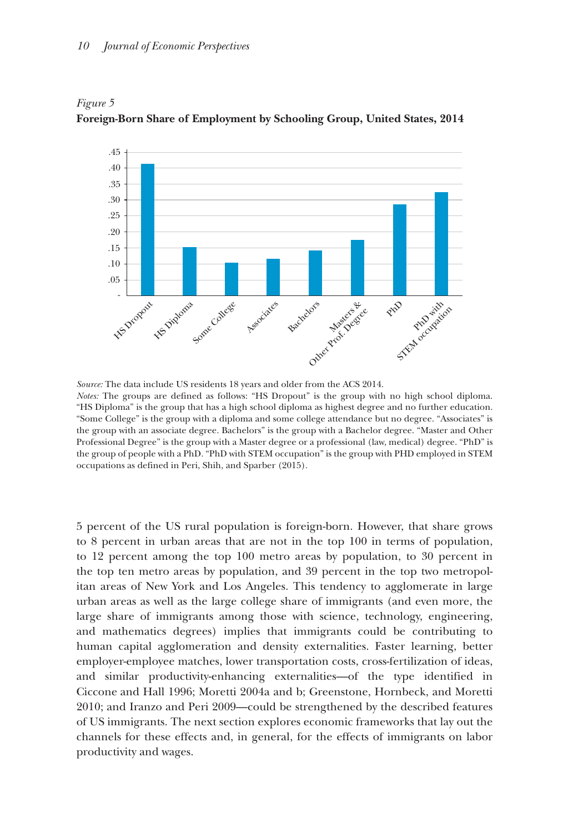

<span id="page-7-0"></span>*Figure 5* **Foreign-Born Share of Employment by Schooling Group, United States, 2014**

*Source:* The data include US residents 18 years and older from the ACS 2014. *Notes:* The groups are defined as follows: "HS Dropout" is the group with no high school diploma. "HS Diploma" is the group that has a high school diploma as highest degree and no further education. "Some College" is the group with a diploma and some college attendance but no degree. "Associates" is the group with an associate degree. Bachelors" is the group with a Bachelor degree. "Master and Other Professional Degree" is the group with a Master degree or a professional (law, medical) degree. "PhD" is the group of people with a PhD. "PhD with STEM occupation" is the group with PHD employed in STEM occupations as defined in Peri, Shih, and Sparber (2015).

5 percent of the US rural population is foreign-born. However, that share grows to 8 percent in urban areas that are not in the top 100 in terms of population, to 12 percent among the top 100 metro areas by population, to 30 percent in the top ten metro areas by population, and 39 percent in the top two metropolitan areas of New York and Los Angeles. This tendency to agglomerate in large urban areas as well as the large college share of immigrants (and even more, the large share of immigrants among those with science, technology, engineering, and mathematics degrees) implies that immigrants could be contributing to human capital agglomeration and density externalities. Faster learning, better employer-employee matches, lower transportation costs, cross-fertilization of ideas, and similar productivity-enhancing externalities—of the type identified in Ciccone and Hall 1996; Moretti 2004a and b; Greenstone, Hornbeck, and Moretti 2010; and Iranzo and Peri 2009—could be strengthened by the described features of US immigrants. The next section explores economic frameworks that lay out the channels for these effects and, in general, for the effects of immigrants on labor productivity and wages.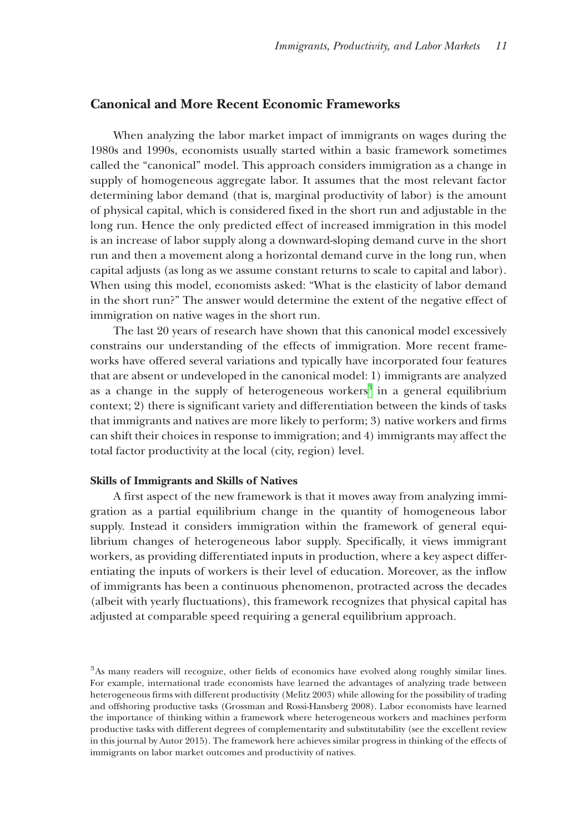## **Canonical and More Recent Economic Frameworks**

When analyzing the labor market impact of immigrants on wages during the 1980s and 1990s, economists usually started within a basic framework sometimes called the "canonical" model. This approach considers immigration as a change in supply of homogeneous aggregate labor. It assumes that the most relevant factor determining labor demand (that is, marginal productivity of labor) is the amount of physical capital, which is considered fixed in the short run and adjustable in the long run. Hence the only predicted effect of increased immigration in this model is an increase of labor supply along a downward-sloping demand curve in the short run and then a movement along a horizontal demand curve in the long run, when capital adjusts (as long as we assume constant returns to scale to capital and labor). When using this model, economists asked: "What is the elasticity of labor demand in the short run?" The answer would determine the extent of the negative effect of immigration on native wages in the short run.

The last 20 years of research have shown that this canonical model excessively constrains our understanding of the effects of immigration. More recent frameworks have offered several variations and typically have incorporated four features that are absent or undeveloped in the canonical model: 1) immigrants are analyzed as a change in the supply of heterogeneous workers<sup>3</sup> in a general equilibrium context; 2) there is significant variety and differentiation between the kinds of tasks that immigrants and natives are more likely to perform; 3) native workers and firms can shift their choices in response to immigration; and 4) immigrants may affect the total factor productivity at the local (city, region) level.

#### **Skills of Immigrants and Skills of Natives**

A first aspect of the new framework is that it moves away from analyzing immigration as a partial equilibrium change in the quantity of homogeneous labor supply. Instead it considers immigration within the framework of general equilibrium changes of heterogeneous labor supply. Specifically, it views immigrant workers, as providing differentiated inputs in production, where a key aspect differentiating the inputs of workers is their level of education. Moreover, as the inflow of immigrants has been a continuous phenomenon, protracted across the decades (albeit with yearly fluctuations), this framework recognizes that physical capital has adjusted at comparable speed requiring a general equilibrium approach.

<span id="page-8-0"></span><sup>&</sup>lt;sup>3</sup>As many readers will recognize, other fields of economics have evolved along roughly similar lines. For example, international trade economists have learned the advantages of analyzing trade between heterogeneous firms with different productivity (Melitz 2003) while allowing for the possibility of trading and offshoring productive tasks (Grossman and Rossi-Hansberg 2008). Labor economists have learned the importance of thinking within a framework where heterogeneous workers and machines perform productive tasks with different degrees of complementarity and substitutability (see the excellent review in this journal by Autor 2015). The framework here achieves similar progress in thinking of the effects of immigrants on labor market outcomes and productivity of natives.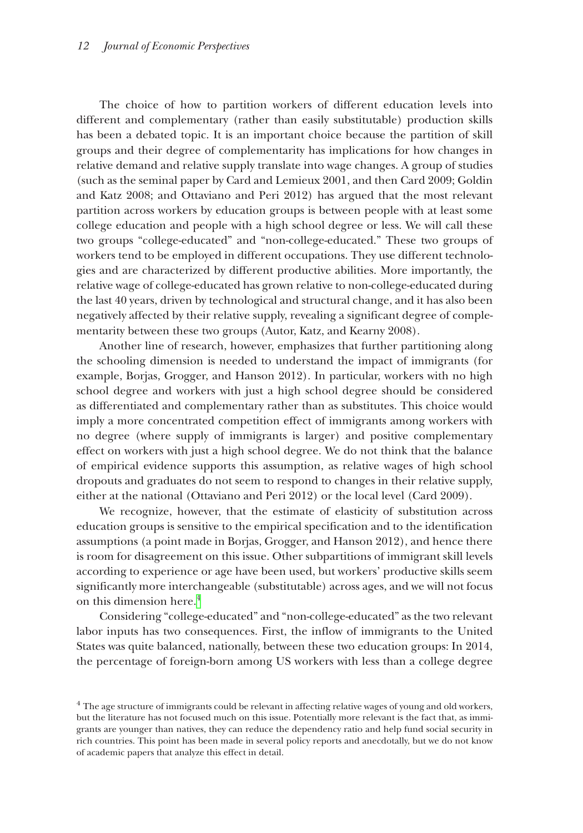The choice of how to partition workers of different education levels into different and complementary (rather than easily substitutable) production skills has been a debated topic. It is an important choice because the partition of skill groups and their degree of complementarity has implications for how changes in relative demand and relative supply translate into wage changes. A group of studies (such as the seminal paper by Card and Lemieux 2001, and then Card 2009; Goldin and Katz 2008; and Ottaviano and Peri 2012) has argued that the most relevant partition across workers by education groups is between people with at least some college education and people with a high school degree or less. We will call these two groups "college-educated" and "non-college-educated." These two groups of workers tend to be employed in different occupations. They use different technologies and are characterized by different productive abilities. More importantly, the relative wage of college-educated has grown relative to non-college-educated during the last 40 years, driven by technological and structural change, and it has also been negatively affected by their relative supply, revealing a significant degree of complementarity between these two groups (Autor, Katz, and Kearny 2008).

Another line of research, however, emphasizes that further partitioning along the schooling dimension is needed to understand the impact of immigrants (for example, Borjas, Grogger, and Hanson 2012). In particular, workers with no high school degree and workers with just a high school degree should be considered as differentiated and complementary rather than as substitutes. This choice would imply a more concentrated competition effect of immigrants among workers with no degree (where supply of immigrants is larger) and positive complementary effect on workers with just a high school degree. We do not think that the balance of empirical evidence supports this assumption, as relative wages of high school dropouts and graduates do not seem to respond to changes in their relative supply, either at the national (Ottaviano and Peri 2012) or the local level (Card 2009).

We recognize, however, that the estimate of elasticity of substitution across education groups is sensitive to the empirical specification and to the identification assumptions (a point made in Borjas, Grogger, and Hanson 2012), and hence there is room for disagreement on this issue. Other subpartitions of immigrant skill levels according to experience or age have been used, but workers' productive skills seem significantly more interchangeable (substitutable) across ages, and we will not focus on this dimension here.<sup>[4](#page-9-0)</sup>

Considering "college-educated" and "non-college-educated" as the two relevant labor inputs has two consequences. First, the inflow of immigrants to the United States was quite balanced, nationally, between these two education groups: In 2014, the percentage of foreign-born among US workers with less than a college degree

<span id="page-9-0"></span><sup>&</sup>lt;sup>4</sup> The age structure of immigrants could be relevant in affecting relative wages of young and old workers, but the literature has not focused much on this issue. Potentially more relevant is the fact that, as immigrants are younger than natives, they can reduce the dependency ratio and help fund social security in rich countries. This point has been made in several policy reports and anecdotally, but we do not know of academic papers that analyze this effect in detail.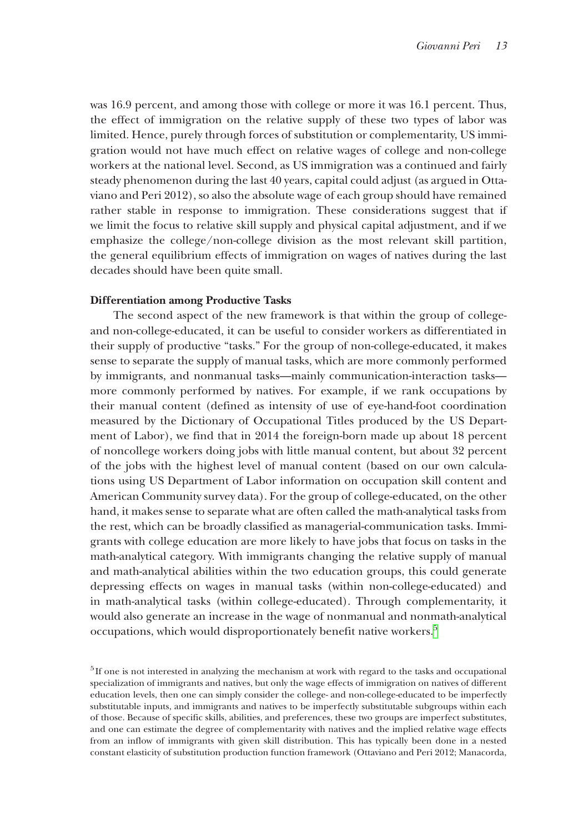was 16.9 percent, and among those with college or more it was 16.1 percent. Thus, the effect of immigration on the relative supply of these two types of labor was limited. Hence, purely through forces of substitution or complementarity, US immigration would not have much effect on relative wages of college and non-college workers at the national level. Second, as US immigration was a continued and fairly steady phenomenon during the last 40 years, capital could adjust (as argued in Ottaviano and Peri 2012), so also the absolute wage of each group should have remained rather stable in response to immigration. These considerations suggest that if we limit the focus to relative skill supply and physical capital adjustment, and if we emphasize the college/non-college division as the most relevant skill partition, the general equilibrium effects of immigration on wages of natives during the last decades should have been quite small.

#### **Differentiation among Productive Tasks**

The second aspect of the new framework is that within the group of collegeand non-college-educated, it can be useful to consider workers as differentiated in their supply of productive "tasks." For the group of non-college-educated, it makes sense to separate the supply of manual tasks, which are more commonly performed by immigrants, and nonmanual tasks—mainly communication-interaction tasks more commonly performed by natives. For example, if we rank occupations by their manual content (defined as intensity of use of eye-hand-foot coordination measured by the Dictionary of Occupational Titles produced by the US Department of Labor), we find that in 2014 the foreign-born made up about 18 percent of noncollege workers doing jobs with little manual content, but about 32 percent of the jobs with the highest level of manual content (based on our own calculations using US Department of Labor information on occupation skill content and American Community survey data). For the group of college-educated, on the other hand, it makes sense to separate what are often called the math-analytical tasks from the rest, which can be broadly classified as managerial-communication tasks. Immigrants with college education are more likely to have jobs that focus on tasks in the math-analytical category. With immigrants changing the relative supply of manual and math-analytical abilities within the two education groups, this could generate depressing effects on wages in manual tasks (within non-college-educated) and in math-analytical tasks (within college-educated). Through complementarity, it would also generate an increase in the wage of nonmanual and nonmath-analytical occupations, which would disproportionately benefit native workers.<sup>[5](#page-10-0)</sup>

<span id="page-10-0"></span> $<sup>5</sup>$ If one is not interested in analyzing the mechanism at work with regard to the tasks and occupational</sup> specialization of immigrants and natives, but only the wage effects of immigration on natives of different education levels, then one can simply consider the college- and non-college-educated to be imperfectly substitutable inputs, and immigrants and natives to be imperfectly substitutable subgroups within each of those. Because of specific skills, abilities, and preferences, these two groups are imperfect substitutes, and one can estimate the degree of complementarity with natives and the implied relative wage effects from an inflow of immigrants with given skill distribution. This has typically been done in a nested constant elasticity of substitution production function framework (Ottaviano and Peri 2012; Manacorda,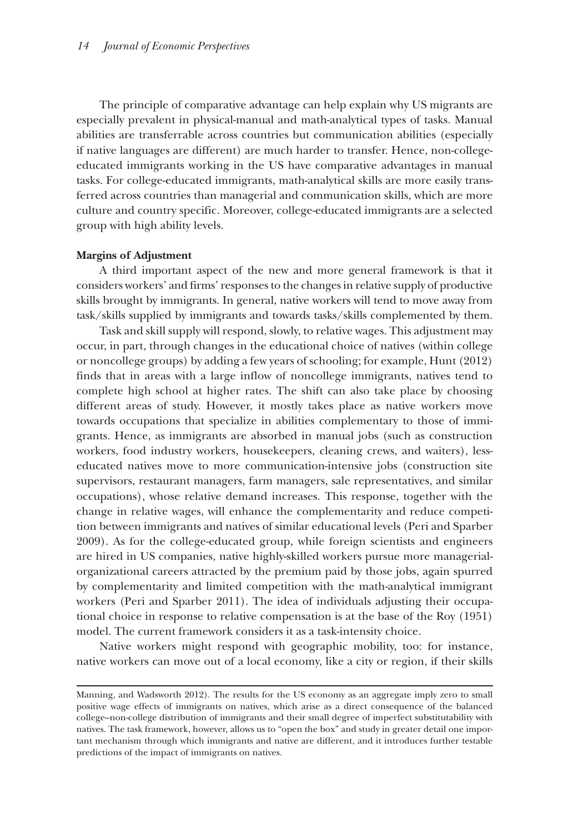The principle of comparative advantage can help explain why US migrants are especially prevalent in physical-manual and math-analytical types of tasks. Manual abilities are transferrable across countries but communication abilities (especially if native languages are different) are much harder to transfer. Hence, non-collegeeducated immigrants working in the US have comparative advantages in manual tasks. For college-educated immigrants, math-analytical skills are more easily transferred across countries than managerial and communication skills, which are more culture and country specific. Moreover, college-educated immigrants are a selected group with high ability levels.

#### **Margins of Adjustment**

A third important aspect of the new and more general framework is that it considers workers' and firms' responses to the changes in relative supply of productive skills brought by immigrants. In general, native workers will tend to move away from task/skills supplied by immigrants and towards tasks/skills complemented by them.

Task and skill supply will respond, slowly, to relative wages. This adjustment may occur, in part, through changes in the educational choice of natives (within college or noncollege groups) by adding a few years of schooling; for example, Hunt (2012) finds that in areas with a large inflow of noncollege immigrants, natives tend to complete high school at higher rates. The shift can also take place by choosing different areas of study. However, it mostly takes place as native workers move towards occupations that specialize in abilities complementary to those of immigrants. Hence, as immigrants are absorbed in manual jobs (such as construction workers, food industry workers, housekeepers, cleaning crews, and waiters), lesseducated natives move to more communication-intensive jobs (construction site supervisors, restaurant managers, farm managers, sale representatives, and similar occupations), whose relative demand increases. This response, together with the change in relative wages, will enhance the complementarity and reduce competition between immigrants and natives of similar educational levels (Peri and Sparber 2009). As for the college-educated group, while foreign scientists and engineers are hired in US companies, native highly-skilled workers pursue more managerialorganizational careers attracted by the premium paid by those jobs, again spurred by complementarity and limited competition with the math-analytical immigrant workers (Peri and Sparber 2011). The idea of individuals adjusting their occupational choice in response to relative compensation is at the base of the Roy (1951) model. The current framework considers it as a task-intensity choice.

Native workers might respond with geographic mobility, too: for instance, native workers can move out of a local economy, like a city or region, if their skills

Manning, and Wadsworth 2012). The results for the US economy as an aggregate imply zero to small positive wage effects of immigrants on natives, which arise as a direct consequence of the balanced college–non-college distribution of immigrants and their small degree of imperfect substitutability with natives. The task framework, however, allows us to "open the box" and study in greater detail one important mechanism through which immigrants and native are different, and it introduces further testable predictions of the impact of immigrants on natives.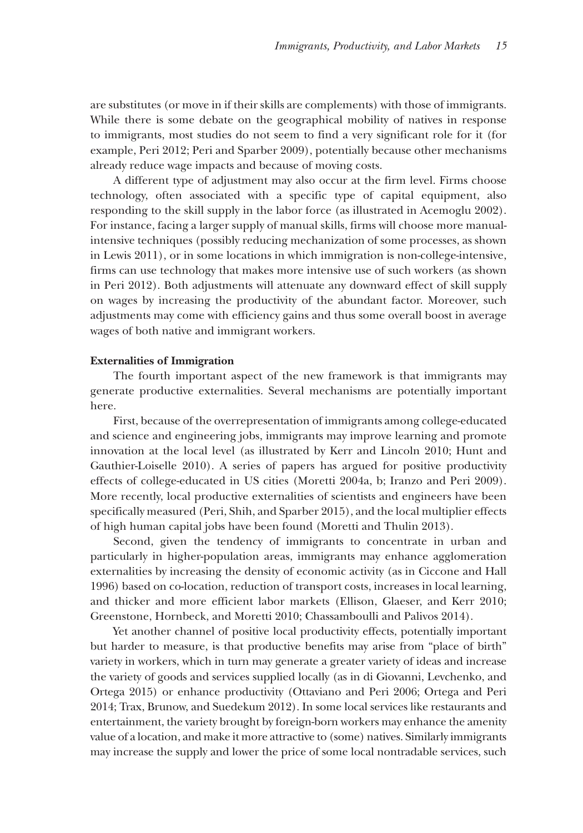are substitutes (or move in if their skills are complements) with those of immigrants. While there is some debate on the geographical mobility of natives in response to immigrants, most studies do not seem to find a very significant role for it (for example, Peri 2012; Peri and Sparber 2009), potentially because other mechanisms already reduce wage impacts and because of moving costs.

A different type of adjustment may also occur at the firm level. Firms choose technology, often associated with a specific type of capital equipment, also responding to the skill supply in the labor force (as illustrated in Acemoglu 2002). For instance, facing a larger supply of manual skills, firms will choose more manualintensive techniques (possibly reducing mechanization of some processes, as shown in Lewis 2011), or in some locations in which immigration is non-college-intensive, firms can use technology that makes more intensive use of such workers (as shown in Peri 2012). Both adjustments will attenuate any downward effect of skill supply on wages by increasing the productivity of the abundant factor. Moreover, such adjustments may come with efficiency gains and thus some overall boost in average wages of both native and immigrant workers.

#### **Externalities of Immigration**

The fourth important aspect of the new framework is that immigrants may generate productive externalities. Several mechanisms are potentially important here.

First, because of the overrepresentation of immigrants among college-educated and science and engineering jobs, immigrants may improve learning and promote innovation at the local level (as illustrated by Kerr and Lincoln 2010; Hunt and Gauthier-Loiselle 2010). A series of papers has argued for positive productivity effects of college-educated in US cities (Moretti 2004a, b; Iranzo and Peri 2009). More recently, local productive externalities of scientists and engineers have been specifically measured (Peri, Shih, and Sparber 2015), and the local multiplier effects of high human capital jobs have been found (Moretti and Thulin 2013).

Second, given the tendency of immigrants to concentrate in urban and particularly in higher-population areas, immigrants may enhance agglomeration externalities by increasing the density of economic activity (as in Ciccone and Hall 1996) based on co-location, reduction of transport costs, increases in local learning, and thicker and more efficient labor markets (Ellison, Glaeser, and Kerr 2010; Greenstone, Hornbeck, and Moretti 2010; Chassamboulli and Palivos 2014).

Yet another channel of positive local productivity effects, potentially important but harder to measure, is that productive benefits may arise from "place of birth" variety in workers, which in turn may generate a greater variety of ideas and increase the variety of goods and services supplied locally (as in di Giovanni, Levchenko, and Ortega 2015) or enhance productivity (Ottaviano and Peri 2006; Ortega and Peri 2014; Trax, Brunow, and Suedekum 2012). In some local services like restaurants and entertainment, the variety brought by foreign-born workers may enhance the amenity value of a location, and make it more attractive to (some) natives. Similarly immigrants may increase the supply and lower the price of some local nontradable services, such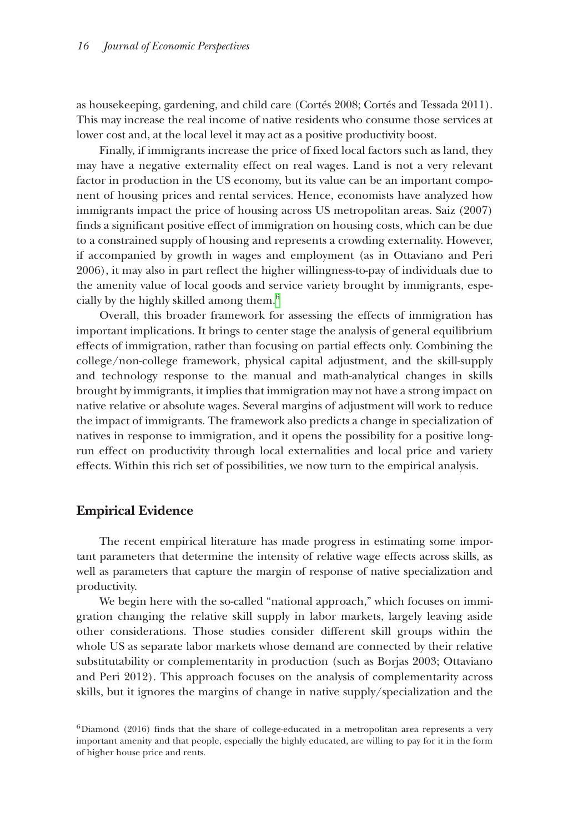as housekeeping, gardening, and child care (Cortés 2008; Cortés and Tessada 2011). This may increase the real income of native residents who consume those services at lower cost and, at the local level it may act as a positive productivity boost.

Finally, if immigrants increase the price of fixed local factors such as land, they may have a negative externality effect on real wages. Land is not a very relevant factor in production in the US economy, but its value can be an important component of housing prices and rental services. Hence, economists have analyzed how immigrants impact the price of housing across US metropolitan areas. Saiz (2007) finds a significant positive effect of immigration on housing costs, which can be due to a constrained supply of housing and represents a crowding externality. However, if accompanied by growth in wages and employment (as in Ottaviano and Peri 2006), it may also in part reflect the higher willingness-to-pay of individuals due to the amenity value of local goods and service variety brought by immigrants, especially by the highly skilled among them[.6](#page-13-0)

Overall, this broader framework for assessing the effects of immigration has important implications. It brings to center stage the analysis of general equilibrium effects of immigration, rather than focusing on partial effects only. Combining the college/non-college framework, physical capital adjustment, and the skill-supply and technology response to the manual and math-analytical changes in skills brought by immigrants, it implies that immigration may not have a strong impact on native relative or absolute wages. Several margins of adjustment will work to reduce the impact of immigrants. The framework also predicts a change in specialization of natives in response to immigration, and it opens the possibility for a positive longrun effect on productivity through local externalities and local price and variety effects. Within this rich set of possibilities, we now turn to the empirical analysis.

## **Empirical Evidence**

The recent empirical literature has made progress in estimating some important parameters that determine the intensity of relative wage effects across skills, as well as parameters that capture the margin of response of native specialization and productivity.

We begin here with the so-called "national approach," which focuses on immigration changing the relative skill supply in labor markets, largely leaving aside other considerations. Those studies consider different skill groups within the whole US as separate labor markets whose demand are connected by their relative substitutability or complementarity in production (such as Borjas 2003; Ottaviano and Peri 2012). This approach focuses on the analysis of complementarity across skills, but it ignores the margins of change in native supply/specialization and the

<span id="page-13-0"></span><sup>6</sup>Diamond (2016) finds that the share of college-educated in a metropolitan area represents a very important amenity and that people, especially the highly educated, are willing to pay for it in the form of higher house price and rents.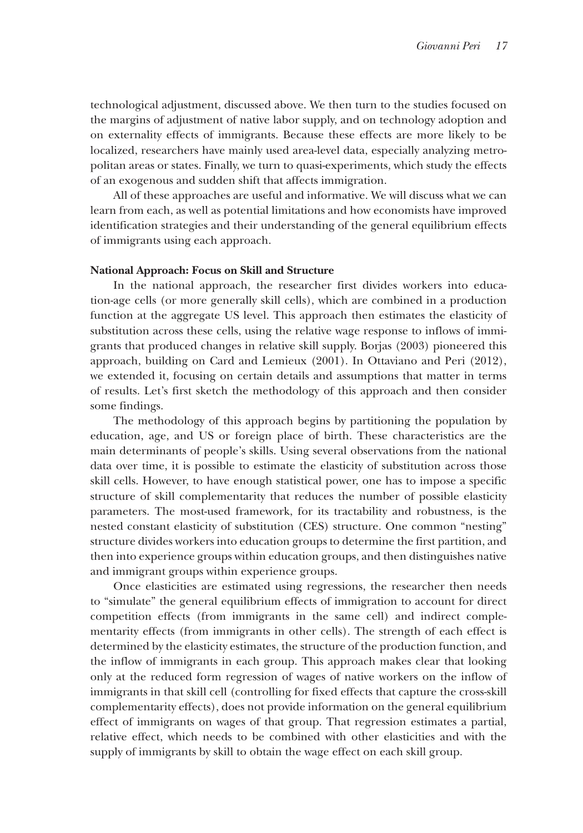technological adjustment, discussed above. We then turn to the studies focused on the margins of adjustment of native labor supply, and on technology adoption and on externality effects of immigrants. Because these effects are more likely to be localized, researchers have mainly used area-level data, especially analyzing metropolitan areas or states. Finally, we turn to quasi-experiments, which study the effects of an exogenous and sudden shift that affects immigration.

All of these approaches are useful and informative. We will discuss what we can learn from each, as well as potential limitations and how economists have improved identification strategies and their understanding of the general equilibrium effects of immigrants using each approach.

#### **National Approach: Focus on Skill and Structure**

In the national approach, the researcher first divides workers into education-age cells (or more generally skill cells), which are combined in a production function at the aggregate US level. This approach then estimates the elasticity of substitution across these cells, using the relative wage response to inflows of immigrants that produced changes in relative skill supply. Borjas (2003) pioneered this approach, building on Card and Lemieux (2001). In Ottaviano and Peri (2012), we extended it, focusing on certain details and assumptions that matter in terms of results. Let's first sketch the methodology of this approach and then consider some findings.

The methodology of this approach begins by partitioning the population by education, age, and US or foreign place of birth. These characteristics are the main determinants of people's skills. Using several observations from the national data over time, it is possible to estimate the elasticity of substitution across those skill cells. However, to have enough statistical power, one has to impose a specific structure of skill complementarity that reduces the number of possible elasticity parameters. The most-used framework, for its tractability and robustness, is the nested constant elasticity of substitution (CES) structure. One common "nesting" structure divides workers into education groups to determine the first partition, and then into experience groups within education groups, and then distinguishes native and immigrant groups within experience groups.

Once elasticities are estimated using regressions, the researcher then needs to "simulate" the general equilibrium effects of immigration to account for direct competition effects (from immigrants in the same cell) and indirect complementarity effects (from immigrants in other cells). The strength of each effect is determined by the elasticity estimates, the structure of the production function, and the inflow of immigrants in each group. This approach makes clear that looking only at the reduced form regression of wages of native workers on the inflow of immigrants in that skill cell (controlling for fixed effects that capture the cross-skill complementarity effects), does not provide information on the general equilibrium effect of immigrants on wages of that group. That regression estimates a partial, relative effect, which needs to be combined with other elasticities and with the supply of immigrants by skill to obtain the wage effect on each skill group.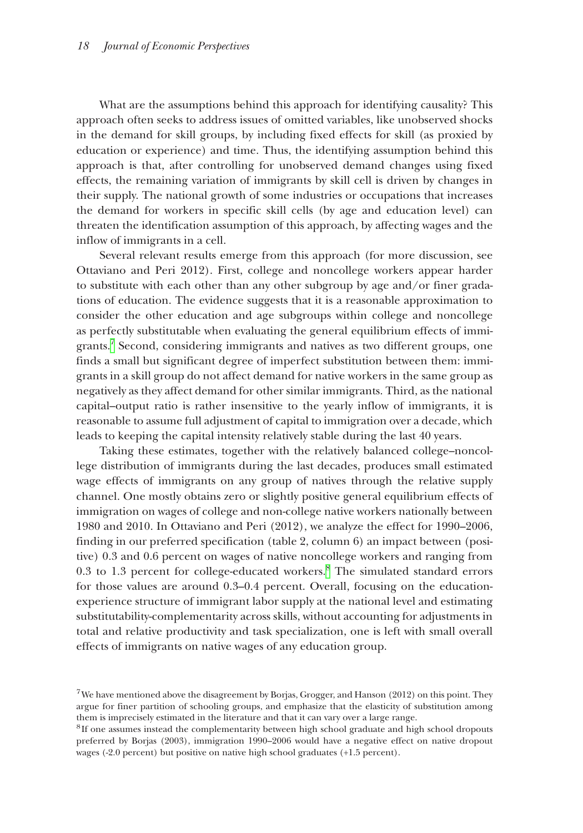What are the assumptions behind this approach for identifying causality? This approach often seeks to address issues of omitted variables, like unobserved shocks in the demand for skill groups, by including fixed effects for skill (as proxied by education or experience) and time. Thus, the identifying assumption behind this approach is that, after controlling for unobserved demand changes using fixed effects, the remaining variation of immigrants by skill cell is driven by changes in their supply. The national growth of some industries or occupations that increases the demand for workers in specific skill cells (by age and education level) can threaten the identification assumption of this approach, by affecting wages and the inflow of immigrants in a cell.

Several relevant results emerge from this approach (for more discussion, see Ottaviano and Peri 2012). First, college and noncollege workers appear harder to substitute with each other than any other subgroup by age and/or finer gradations of education. The evidence suggests that it is a reasonable approximation to consider the other education and age subgroups within college and noncollege as perfectly substitutable when evaluating the general equilibrium effects of immigrants[.7](#page-15-0) Second, considering immigrants and natives as two different groups, one finds a small but significant degree of imperfect substitution between them: immigrants in a skill group do not affect demand for native workers in the same group as negatively as they affect demand for other similar immigrants. Third, as the national capital–output ratio is rather insensitive to the yearly inflow of immigrants, it is reasonable to assume full adjustment of capital to immigration over a decade, which leads to keeping the capital intensity relatively stable during the last 40 years.

Taking these estimates, together with the relatively balanced college–noncollege distribution of immigrants during the last decades, produces small estimated wage effects of immigrants on any group of natives through the relative supply channel. One mostly obtains zero or slightly positive general equilibrium effects of immigration on wages of college and non-college native workers nationally between 1980 and 2010. In Ottaviano and Peri (2012), we analyze the effect for 1990–2006, finding in our preferred specification (table 2, column 6) an impact between (positive) 0.3 and 0.6 percent on wages of native noncollege workers and ranging from 0.3 to 1.3 percent for college-educated workers.[8](#page-15-1) The simulated standard errors for those values are around 0.3–0.4 percent. Overall, focusing on the educationexperience structure of immigrant labor supply at the national level and estimating substitutability-complementarity across skills, without accounting for adjustments in total and relative productivity and task specialization, one is left with small overall effects of immigrants on native wages of any education group.

<span id="page-15-0"></span><sup>&</sup>lt;sup>7</sup>We have mentioned above the disagreement by Borjas, Grogger, and Hanson (2012) on this point. They argue for finer partition of schooling groups, and emphasize that the elasticity of substitution among them is imprecisely estimated in the literature and that it can vary over a large range.

<span id="page-15-1"></span><sup>&</sup>lt;sup>8</sup>If one assumes instead the complementarity between high school graduate and high school dropouts preferred by Borjas (2003), immigration 1990–2006 would have a negative effect on native dropout wages (-2.0 percent) but positive on native high school graduates (+1.5 percent).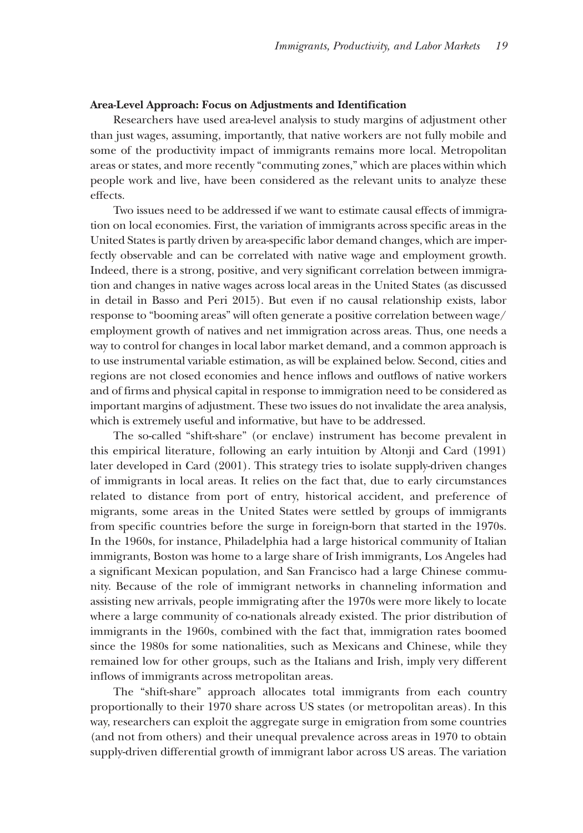#### **Area-Level Approach: Focus on Adjustments and Identification**

Researchers have used area-level analysis to study margins of adjustment other than just wages, assuming, importantly, that native workers are not fully mobile and some of the productivity impact of immigrants remains more local. Metropolitan areas or states, and more recently "commuting zones," which are places within which people work and live, have been considered as the relevant units to analyze these effects.

Two issues need to be addressed if we want to estimate causal effects of immigration on local economies. First, the variation of immigrants across specific areas in the United States is partly driven by area-specific labor demand changes, which are imperfectly observable and can be correlated with native wage and employment growth. Indeed, there is a strong, positive, and very significant correlation between immigration and changes in native wages across local areas in the United States (as discussed in detail in Basso and Peri 2015). But even if no causal relationship exists, labor response to "booming areas" will often generate a positive correlation between wage/ employment growth of natives and net immigration across areas. Thus, one needs a way to control for changes in local labor market demand, and a common approach is to use instrumental variable estimation, as will be explained below. Second, cities and regions are not closed economies and hence inflows and outflows of native workers and of firms and physical capital in response to immigration need to be considered as important margins of adjustment. These two issues do not invalidate the area analysis, which is extremely useful and informative, but have to be addressed.

The so-called "shift-share" (or enclave) instrument has become prevalent in this empirical literature, following an early intuition by Altonji and Card (1991) later developed in Card (2001). This strategy tries to isolate supply-driven changes of immigrants in local areas. It relies on the fact that, due to early circumstances related to distance from port of entry, historical accident, and preference of migrants, some areas in the United States were settled by groups of immigrants from specific countries before the surge in foreign-born that started in the 1970s. In the 1960s, for instance, Philadelphia had a large historical community of Italian immigrants, Boston was home to a large share of Irish immigrants, Los Angeles had a significant Mexican population, and San Francisco had a large Chinese community. Because of the role of immigrant networks in channeling information and assisting new arrivals, people immigrating after the 1970s were more likely to locate where a large community of co-nationals already existed. The prior distribution of immigrants in the 1960s, combined with the fact that, immigration rates boomed since the 1980s for some nationalities, such as Mexicans and Chinese, while they remained low for other groups, such as the Italians and Irish, imply very different inflows of immigrants across metropolitan areas.

The "shift-share" approach allocates total immigrants from each country proportionally to their 1970 share across US states (or metropolitan areas). In this way, researchers can exploit the aggregate surge in emigration from some countries (and not from others) and their unequal prevalence across areas in 1970 to obtain supply-driven differential growth of immigrant labor across US areas. The variation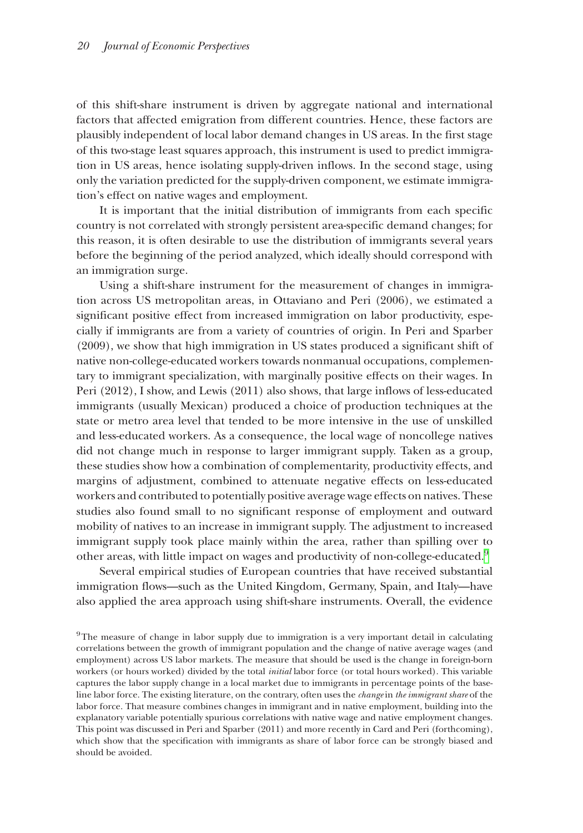of this shift-share instrument is driven by aggregate national and international factors that affected emigration from different countries. Hence, these factors are plausibly independent of local labor demand changes in US areas. In the first stage of this two-stage least squares approach, this instrument is used to predict immigration in US areas, hence isolating supply-driven inflows. In the second stage, using only the variation predicted for the supply-driven component, we estimate immigration's effect on native wages and employment.

It is important that the initial distribution of immigrants from each specific country is not correlated with strongly persistent area-specific demand changes; for this reason, it is often desirable to use the distribution of immigrants several years before the beginning of the period analyzed, which ideally should correspond with an immigration surge.

Using a shift-share instrument for the measurement of changes in immigration across US metropolitan areas, in Ottaviano and Peri (2006), we estimated a significant positive effect from increased immigration on labor productivity, especially if immigrants are from a variety of countries of origin. In Peri and Sparber (2009), we show that high immigration in US states produced a significant shift of native non-college-educated workers towards nonmanual occupations, complementary to immigrant specialization, with marginally positive effects on their wages. In Peri (2012), I show, and Lewis (2011) also shows, that large inflows of less-educated immigrants (usually Mexican) produced a choice of production techniques at the state or metro area level that tended to be more intensive in the use of unskilled and less-educated workers. As a consequence, the local wage of noncollege natives did not change much in response to larger immigrant supply. Taken as a group, these studies show how a combination of complementarity, productivity effects, and margins of adjustment, combined to attenuate negative effects on less-educated workers and contributed to potentially positive average wage effects on natives. These studies also found small to no significant response of employment and outward mobility of natives to an increase in immigrant supply. The adjustment to increased immigrant supply took place mainly within the area, rather than spilling over to other areas, with little impact on wages and productivity of non-college-educated.[9](#page-17-0)

Several empirical studies of European countries that have received substantial immigration flows—such as the United Kingdom, Germany, Spain, and Italy—have also applied the area approach using shift-share instruments. Overall, the evidence

<span id="page-17-0"></span><sup>9</sup>The measure of change in labor supply due to immigration is a very important detail in calculating correlations between the growth of immigrant population and the change of native average wages (and employment) across US labor markets. The measure that should be used is the change in foreign-born workers (or hours worked) divided by the total *initial* labor force (or total hours worked). This variable captures the labor supply change in a local market due to immigrants in percentage points of the baseline labor force. The existing literature, on the contrary, often uses the *change* in *the immigrant share* of the labor force. That measure combines changes in immigrant and in native employment, building into the explanatory variable potentially spurious correlations with native wage and native employment changes. This point was discussed in Peri and Sparber (2011) and more recently in Card and Peri (forthcoming), which show that the specification with immigrants as share of labor force can be strongly biased and should be avoided.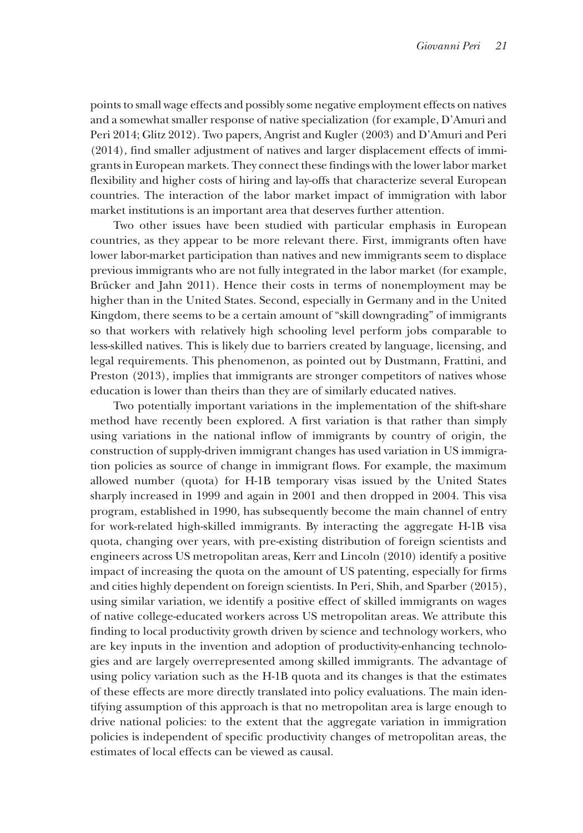points to small wage effects and possibly some negative employment effects on natives and a somewhat smaller response of native specialization (for example, D'Amuri and Peri 2014; Glitz 2012). Two papers, Angrist and Kugler (2003) and D'Amuri and Peri (2014), find smaller adjustment of natives and larger displacement effects of immigrants in European markets. They connect these findings with the lower labor market flexibility and higher costs of hiring and lay-offs that characterize several European countries. The interaction of the labor market impact of immigration with labor market institutions is an important area that deserves further attention.

Two other issues have been studied with particular emphasis in European countries, as they appear to be more relevant there. First, immigrants often have lower labor-market participation than natives and new immigrants seem to displace previous immigrants who are not fully integrated in the labor market (for example, Brücker and Jahn 2011). Hence their costs in terms of nonemployment may be higher than in the United States. Second, especially in Germany and in the United Kingdom, there seems to be a certain amount of "skill downgrading" of immigrants so that workers with relatively high schooling level perform jobs comparable to less-skilled natives. This is likely due to barriers created by language, licensing, and legal requirements. This phenomenon, as pointed out by Dustmann, Frattini, and Preston (2013), implies that immigrants are stronger competitors of natives whose education is lower than theirs than they are of similarly educated natives.

Two potentially important variations in the implementation of the shift-share method have recently been explored. A first variation is that rather than simply using variations in the national inflow of immigrants by country of origin, the construction of supply-driven immigrant changes has used variation in US immigration policies as source of change in immigrant flows. For example, the maximum allowed number (quota) for H-1B temporary visas issued by the United States sharply increased in 1999 and again in 2001 and then dropped in 2004. This visa program, established in 1990, has subsequently become the main channel of entry for work-related high-skilled immigrants. By interacting the aggregate H-1B visa quota, changing over years, with pre-existing distribution of foreign scientists and engineers across US metropolitan areas, Kerr and Lincoln (2010) identify a positive impact of increasing the quota on the amount of US patenting, especially for firms and cities highly dependent on foreign scientists. In Peri, Shih, and Sparber (2015), using similar variation, we identify a positive effect of skilled immigrants on wages of native college-educated workers across US metropolitan areas. We attribute this finding to local productivity growth driven by science and technology workers, who are key inputs in the invention and adoption of productivity-enhancing technologies and are largely overrepresented among skilled immigrants. The advantage of using policy variation such as the H-1B quota and its changes is that the estimates of these effects are more directly translated into policy evaluations. The main identifying assumption of this approach is that no metropolitan area is large enough to drive national policies: to the extent that the aggregate variation in immigration policies is independent of specific productivity changes of metropolitan areas, the estimates of local effects can be viewed as causal.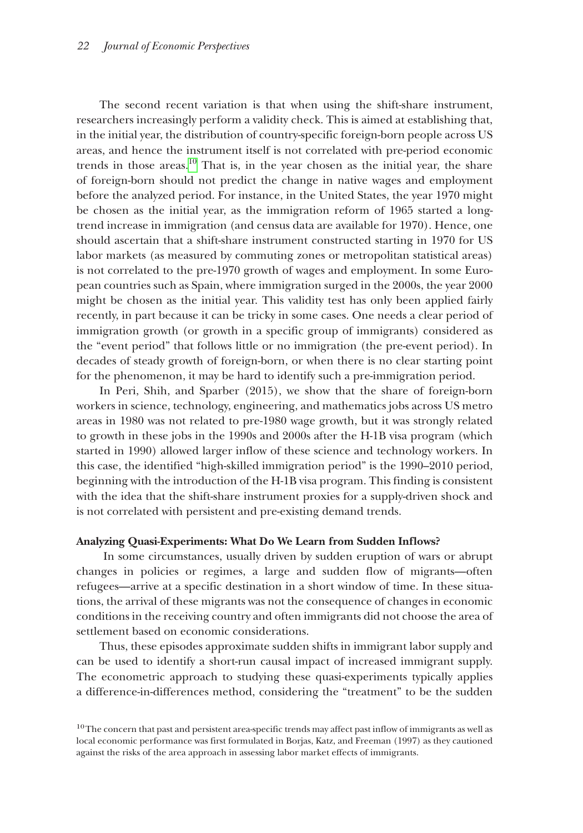The second recent variation is that when using the shift-share instrument, researchers increasingly perform a validity check. This is aimed at establishing that, in the initial year, the distribution of country-specific foreign-born people across US areas, and hence the instrument itself is not correlated with pre-period economic trends in those areas.[10](#page-19-0) That is, in the year chosen as the initial year, the share of foreign-born should not predict the change in native wages and employment before the analyzed period. For instance, in the United States, the year 1970 might be chosen as the initial year, as the immigration reform of 1965 started a longtrend increase in immigration (and census data are available for 1970). Hence, one should ascertain that a shift-share instrument constructed starting in 1970 for US labor markets (as measured by commuting zones or metropolitan statistical areas) is not correlated to the pre-1970 growth of wages and employment. In some European countries such as Spain, where immigration surged in the 2000s, the year 2000 might be chosen as the initial year. This validity test has only been applied fairly recently, in part because it can be tricky in some cases. One needs a clear period of immigration growth (or growth in a specific group of immigrants) considered as the "event period" that follows little or no immigration (the pre-event period). In decades of steady growth of foreign-born, or when there is no clear starting point for the phenomenon, it may be hard to identify such a pre-immigration period.

In Peri, Shih, and Sparber (2015), we show that the share of foreign-born workers in science, technology, engineering, and mathematics jobs across US metro areas in 1980 was not related to pre-1980 wage growth, but it was strongly related to growth in these jobs in the 1990s and 2000s after the H-1B visa program (which started in 1990) allowed larger inflow of these science and technology workers. In this case, the identified "high-skilled immigration period" is the 1990–2010 period, beginning with the introduction of the H-1B visa program. This finding is consistent with the idea that the shift-share instrument proxies for a supply-driven shock and is not correlated with persistent and pre-existing demand trends.

#### **Analyzing Quasi-Experiments: What Do We Learn from Sudden Inflows?**

 In some circumstances, usually driven by sudden eruption of wars or abrupt changes in policies or regimes, a large and sudden flow of migrants—often refugees—arrive at a specific destination in a short window of time. In these situations, the arrival of these migrants was not the consequence of changes in economic conditions in the receiving country and often immigrants did not choose the area of settlement based on economic considerations.

Thus, these episodes approximate sudden shifts in immigrant labor supply and can be used to identify a short-run causal impact of increased immigrant supply. The econometric approach to studying these quasi-experiments typically applies a difference-in-differences method, considering the "treatment" to be the sudden

<span id="page-19-0"></span> $10$ The concern that past and persistent area-specific trends may affect past inflow of immigrants as well as local economic performance was first formulated in Borjas, Katz, and Freeman (1997) as they cautioned against the risks of the area approach in assessing labor market effects of immigrants.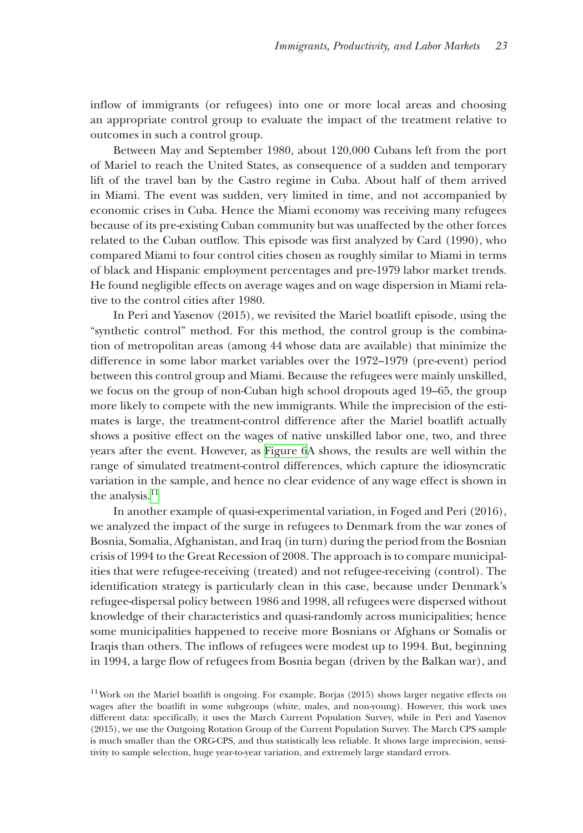inflow of immigrants (or refugees) into one or more local areas and choosing an appropriate control group to evaluate the impact of the treatment relative to outcomes in such a control group.

Between May and September 1980, about 120,000 Cubans left from the port of Mariel to reach the United States, as consequence of a sudden and temporary lift of the travel ban by the Castro regime in Cuba. About half of them arrived in Miami. The event was sudden, very limited in time, and not accompanied by economic crises in Cuba. Hence the Miami economy was receiving many refugees because of its pre-existing Cuban community but was unaffected by the other forces related to the Cuban outflow. This episode was first analyzed by Card (1990), who compared Miami to four control cities chosen as roughly similar to Miami in terms of black and Hispanic employment percentages and pre-1979 labor market trends. He found negligible effects on average wages and on wage dispersion in Miami relative to the control cities after 1980.

In Peri and Yasenov (2015), we revisited the Mariel boatlift episode, using the "synthetic control" method. For this method, the control group is the combination of metropolitan areas (among 44 whose data are available) that minimize the difference in some labor market variables over the 1972–1979 (pre-event) period between this control group and Miami. Because the refugees were mainly unskilled, we focus on the group of non-Cuban high school dropouts aged 19–65, the group more likely to compete with the new immigrants. While the imprecision of the estimates is large, the treatment-control difference after the Mariel boatlift actually shows a positive effect on the wages of native unskilled labor one, two, and three years after the event. However, as [Figure 6A](#page-21-0) shows, the results are well within the range of simulated treatment-control differences, which capture the idiosyncratic variation in the sample, and hence no clear evidence of any wage effect is shown in the analysis. $<sup>11</sup>$ </sup>

In another example of quasi-experimental variation, in Foged and Peri (2016), we analyzed the impact of the surge in refugees to Denmark from the war zones of Bosnia, Somalia, Afghanistan, and Iraq (in turn) during the period from the Bosnian crisis of 1994 to the Great Recession of 2008. The approach is to compare municipalities that were refugee-receiving (treated) and not refugee-receiving (control). The identification strategy is particularly clean in this case, because under Denmark's refugee-dispersal policy between 1986 and 1998, all refugees were dispersed without knowledge of their characteristics and quasi-randomly across municipalities; hence some municipalities happened to receive more Bosnians or Afghans or Somalis or Iraqis than others. The inflows of refugees were modest up to 1994. But, beginning in 1994, a large flow of refugees from Bosnia began (driven by the Balkan war), and

<span id="page-20-0"></span><sup>&</sup>lt;sup>11</sup> Work on the Mariel boatlift is ongoing. For example, Borjas (2015) shows larger negative effects on wages after the boatlift in some subgroups (white, males, and non-young). However, this work uses different data: specifically, it uses the March Current Population Survey, while in Peri and Yasenov (2015), we use the Outgoing Rotation Group of the Current Population Survey. The March CPS sample is much smaller than the ORG-CPS, and thus statistically less reliable. It shows large imprecision, sensitivity to sample selection, huge year-to-year variation, and extremely large standard errors.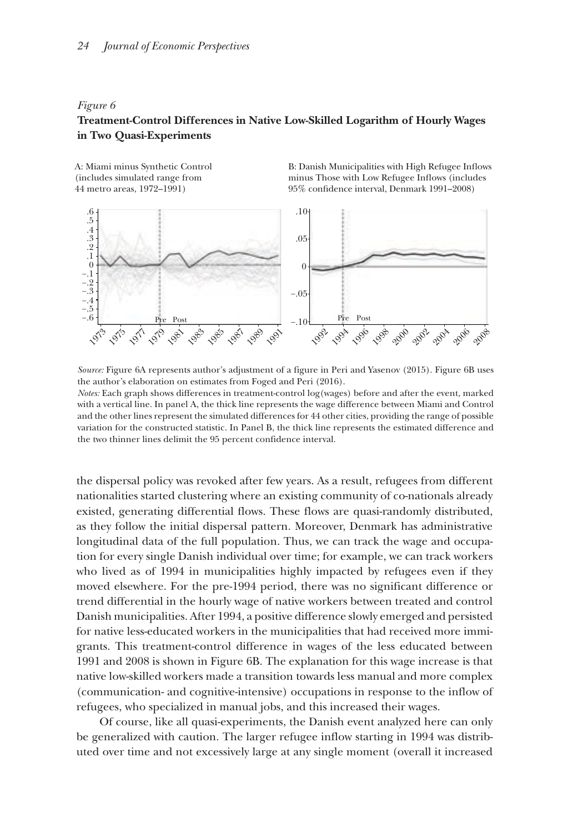#### <span id="page-21-0"></span>*Figure 6*

## **Treatment-Control Differences in Native Low-Skilled Logarithm of Hourly Wages in Two Quasi-Experiments**

A: Miami minus Synthetic Control (includes simulated range from 44 metro areas, 1972–1991)

B: Danish Municipalities with High Refugee Inflows minus Those with Low Refugee Inflows (includes 95% condence interval, Denmark 1991–2008)



*Source:* Figure 6A represents author's adjustment of a figure in Peri and Yasenov (2015). Figure 6B uses the author's elaboration on estimates from Foged and Peri (2016).

*Notes:* Each graph shows differences in treatment-control log(wages) before and after the event, marked with a vertical line. In panel A, the thick line represents the wage difference between Miami and Control and the other lines represent the simulated differences for 44 other cities, providing the range of possible variation for the constructed statistic. In Panel B, the thick line represents the estimated difference and the two thinner lines delimit the 95 percent confidence interval.

the dispersal policy was revoked after few years. As a result, refugees from different nationalities started clustering where an existing community of co-nationals already existed, generating differential flows. These flows are quasi-randomly distributed, as they follow the initial dispersal pattern. Moreover, Denmark has administrative longitudinal data of the full population. Thus, we can track the wage and occupation for every single Danish individual over time; for example, we can track workers who lived as of 1994 in municipalities highly impacted by refugees even if they moved elsewhere. For the pre-1994 period, there was no significant difference or trend differential in the hourly wage of native workers between treated and control Danish municipalities. After 1994, a positive difference slowly emerged and persisted for native less-educated workers in the municipalities that had received more immigrants. This treatment-control difference in wages of the less educated between 1991 and 2008 is shown in Figure 6B. The explanation for this wage increase is that native low-skilled workers made a transition towards less manual and more complex (communication- and cognitive-intensive) occupations in response to the inflow of refugees, who specialized in manual jobs, and this increased their wages.

Of course, like all quasi-experiments, the Danish event analyzed here can only be generalized with caution. The larger refugee inflow starting in 1994 was distributed over time and not excessively large at any single moment (overall it increased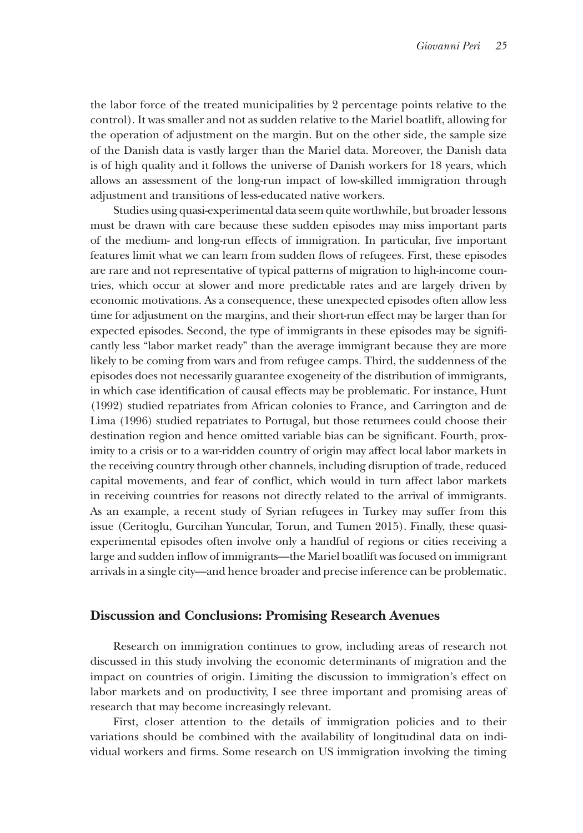the labor force of the treated municipalities by 2 percentage points relative to the control). It was smaller and not as sudden relative to the Mariel boatlift, allowing for the operation of adjustment on the margin. But on the other side, the sample size of the Danish data is vastly larger than the Mariel data. Moreover, the Danish data is of high quality and it follows the universe of Danish workers for 18 years, which allows an assessment of the long-run impact of low-skilled immigration through adjustment and transitions of less-educated native workers.

Studies using quasi-experimental data seem quite worthwhile, but broader lessons must be drawn with care because these sudden episodes may miss important parts of the medium- and long-run effects of immigration. In particular, five important features limit what we can learn from sudden flows of refugees. First, these episodes are rare and not representative of typical patterns of migration to high-income countries, which occur at slower and more predictable rates and are largely driven by economic motivations. As a consequence, these unexpected episodes often allow less time for adjustment on the margins, and their short-run effect may be larger than for expected episodes. Second, the type of immigrants in these episodes may be significantly less "labor market ready" than the average immigrant because they are more likely to be coming from wars and from refugee camps. Third, the suddenness of the episodes does not necessarily guarantee exogeneity of the distribution of immigrants, in which case identification of causal effects may be problematic. For instance, Hunt (1992) studied repatriates from African colonies to France, and Carrington and de Lima (1996) studied repatriates to Portugal, but those returnees could choose their destination region and hence omitted variable bias can be significant. Fourth, proximity to a crisis or to a war-ridden country of origin may affect local labor markets in the receiving country through other channels, including disruption of trade, reduced capital movements, and fear of conflict, which would in turn affect labor markets in receiving countries for reasons not directly related to the arrival of immigrants. As an example, a recent study of Syrian refugees in Turkey may suffer from this issue (Ceritoglu, Gurcihan Yuncular, Torun, and Tumen 2015). Finally, these quasiexperimental episodes often involve only a handful of regions or cities receiving a large and sudden inflow of immigrants—the Mariel boatlift was focused on immigrant arrivals in a single city—and hence broader and precise inference can be problematic.

## **Discussion and Conclusions: Promising Research Avenues**

Research on immigration continues to grow, including areas of research not discussed in this study involving the economic determinants of migration and the impact on countries of origin. Limiting the discussion to immigration's effect on labor markets and on productivity, I see three important and promising areas of research that may become increasingly relevant.

First, closer attention to the details of immigration policies and to their variations should be combined with the availability of longitudinal data on individual workers and firms. Some research on US immigration involving the timing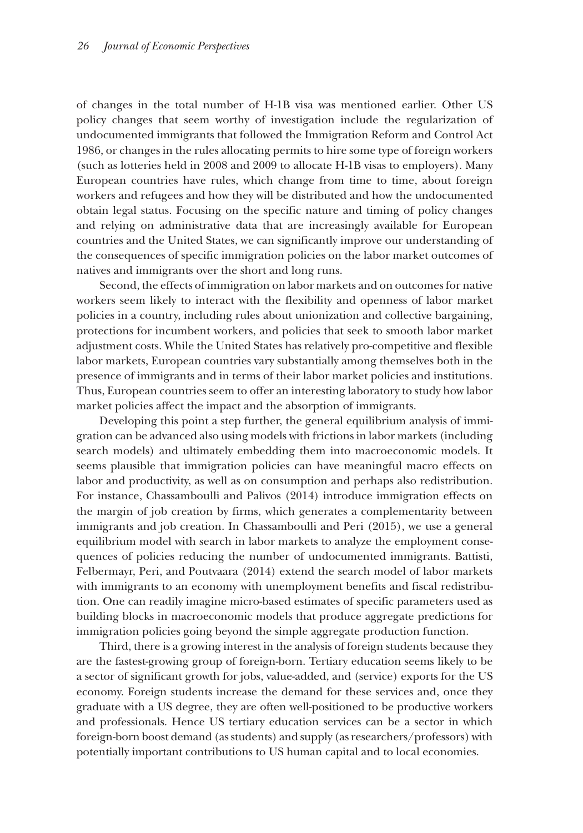of changes in the total number of H-1B visa was mentioned earlier. Other US policy changes that seem worthy of investigation include the regularization of undocumented immigrants that followed the Immigration Reform and Control Act 1986, or changes in the rules allocating permits to hire some type of foreign workers (such as lotteries held in 2008 and 2009 to allocate H-1B visas to employers). Many European countries have rules, which change from time to time, about foreign workers and refugees and how they will be distributed and how the undocumented obtain legal status. Focusing on the specific nature and timing of policy changes and relying on administrative data that are increasingly available for European countries and the United States, we can significantly improve our understanding of the consequences of specific immigration policies on the labor market outcomes of natives and immigrants over the short and long runs.

Second, the effects of immigration on labor markets and on outcomes for native workers seem likely to interact with the flexibility and openness of labor market policies in a country, including rules about unionization and collective bargaining, protections for incumbent workers, and policies that seek to smooth labor market adjustment costs. While the United States has relatively pro-competitive and flexible labor markets, European countries vary substantially among themselves both in the presence of immigrants and in terms of their labor market policies and institutions. Thus, European countries seem to offer an interesting laboratory to study how labor market policies affect the impact and the absorption of immigrants.

Developing this point a step further, the general equilibrium analysis of immigration can be advanced also using models with frictions in labor markets (including search models) and ultimately embedding them into macroeconomic models. It seems plausible that immigration policies can have meaningful macro effects on labor and productivity, as well as on consumption and perhaps also redistribution. For instance, Chassamboulli and Palivos (2014) introduce immigration effects on the margin of job creation by firms, which generates a complementarity between immigrants and job creation. In Chassamboulli and Peri (2015), we use a general equilibrium model with search in labor markets to analyze the employment consequences of policies reducing the number of undocumented immigrants. Battisti, Felbermayr, Peri, and Poutvaara (2014) extend the search model of labor markets with immigrants to an economy with unemployment benefits and fiscal redistribution. One can readily imagine micro-based estimates of specific parameters used as building blocks in macroeconomic models that produce aggregate predictions for immigration policies going beyond the simple aggregate production function.

Third, there is a growing interest in the analysis of foreign students because they are the fastest-growing group of foreign-born. Tertiary education seems likely to be a sector of significant growth for jobs, value-added, and (service) exports for the US economy. Foreign students increase the demand for these services and, once they graduate with a US degree, they are often well-positioned to be productive workers and professionals. Hence US tertiary education services can be a sector in which foreign-born boost demand (as students) and supply (as researchers/professors) with potentially important contributions to US human capital and to local economies.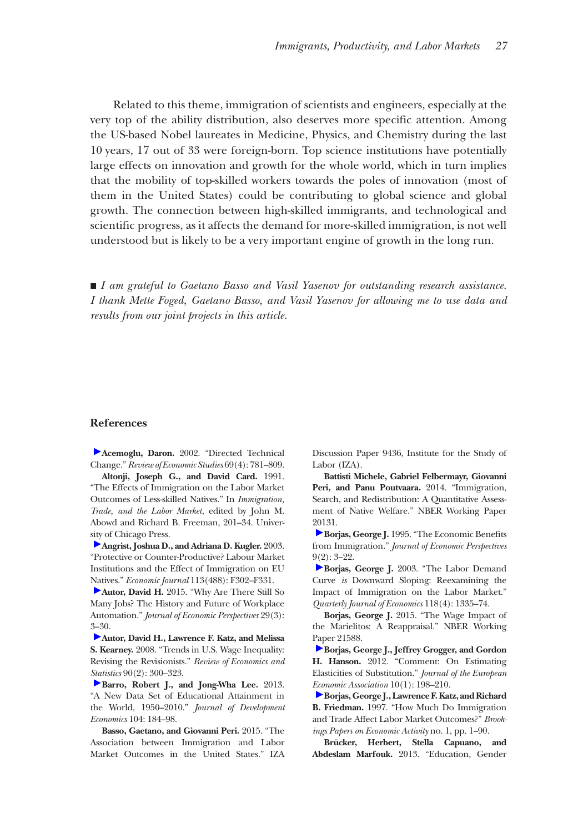Related to this theme, immigration of scientists and engineers, especially at the very top of the ability distribution, also deserves more specific attention. Among the US-based Nobel laureates in Medicine, Physics, and Chemistry during the last 10 years, 17 out of 33 were foreign-born. Top science institutions have potentially large effects on innovation and growth for the whole world, which in turn implies that the mobility of top-skilled workers towards the poles of innovation (most of them in the United States) could be contributing to global science and global growth. The connection between high-skilled immigrants, and technological and scientific progress, as it affects the demand for more-skilled immigration, is not well understood but is likely to be a very important engine of growth in the long run.

■ *I am grateful to Gaetano Basso and Vasil Yasenov for outstanding research assistance. I thank Mette Foged, Gaetano Basso, and Vasil Yasenov for allowing me to use data and results from our joint projects in this article.*

#### **References**

**Acemoglu, Daron.** 2002. "Directed Technical Change." *Review of Economic Studies* 69(4): 781–809.

**Altonji, Joseph G., and David Card.** 1991. "The Effects of Immigration on the Labor Market Outcomes of Less-skilled Natives." In *Immigration, Trade, and the Labor Market*, edited by John M. Abowd and Richard B. Freeman, 201–34. Univer[sity](http://pubs.aeaweb.org/action/showLinks?crossref=10.1111%2F1468-0297.00136) of Chicago Press.

**Angrist, Joshua D., and Adriana D. Kugler.** 2003. "Protective or Counter-Productive? Labour Market Institutions and the Effect of Immigration on EU [Nat](http://pubs.aeaweb.org/action/showLinks?system=10.1257%2Fjep.29.3.3)ives." *Economic Journal* 113(488): F302–F331.

**Autor, David H.** 2015. "Why Are There Still So Many Jobs? The History and Future of Workplace Automation." *Journal of Economic Perspectives* 29(3): [3–3](http://pubs.aeaweb.org/action/showLinks?crossref=10.1162%2Frest.90.2.300)0.

**Autor, David H., Lawrence F. Katz, and Melissa S. Kearney.** 2008. "Trends in U.S. Wage Inequality: Revising the Revisionists." *Review of Economics and [Stat](http://pubs.aeaweb.org/action/showLinks?crossref=10.1016%2Fj.jdeveco.2012.10.001)istics* 90(2): 300–323.

**Barro, Robert J., and Jong-Wha Lee.** 2013. "A New Data Set of Educational Attainment in the World, 1950–2010." *Journal of Development Economics* 104: 184–98.

**Basso, Gaetano, and Giovanni Peri.** 2015. "The Association between Immigration and Labor Market Outcomes in the United States." IZA Discussion Paper 9436, Institute for the Study of Labor (IZA).

**Battisti Michele, Gabriel Felbermayr, Giovanni Peri, and Panu Poutvaara.** 2014. "Immigration, Search, and Redistribution: A Quantitative Assessment of Native Welfare." NBER Working Paper [201](http://pubs.aeaweb.org/action/showLinks?system=10.1257%2Fjep.9.2.3)31.

**Borjas, George J.** 1995. "The Economic Benefits from Immigration." *Journal of Economic Perspectives*  $9(2): 3 - 22.$  $9(2): 3 - 22.$ 

**Borjas, George J.** 2003. "The Labor Demand Curve *is* Downward Sloping: Reexamining the Impact of Immigration on the Labor Market." *Quarterly Journal of Economics* 118(4): 1335–74.

**Borjas, George J.** 2015. "The Wage Impact of the Marielitos: A Reappraisal." NBER Working [Pap](http://pubs.aeaweb.org/action/showLinks?crossref=10.1111%2Fj.1542-4774.2011.01055.x)er 21588.

**Borjas, George J., Jeffrey Grogger, and Gordon H. Hanson.** 2012. "Comment: On Estimating Elasticities of Substitution." *Journal of the European [Eco](http://pubs.aeaweb.org/action/showLinks?crossref=10.2307%2F2534701)nomic Association* 10(1): 198–210.

**Borjas, George J., Lawrence F. Katz, and Richard B. Friedman.** 1997. "How Much Do Immigration and Trade Affect Labor Market Outcomes?" *Brookings Papers on Economic Activity* no. 1, pp. 1–90.

**Brücker, Herbert, Stella Capuano, and Abdeslam Marfouk.** 2013. "Education, Gender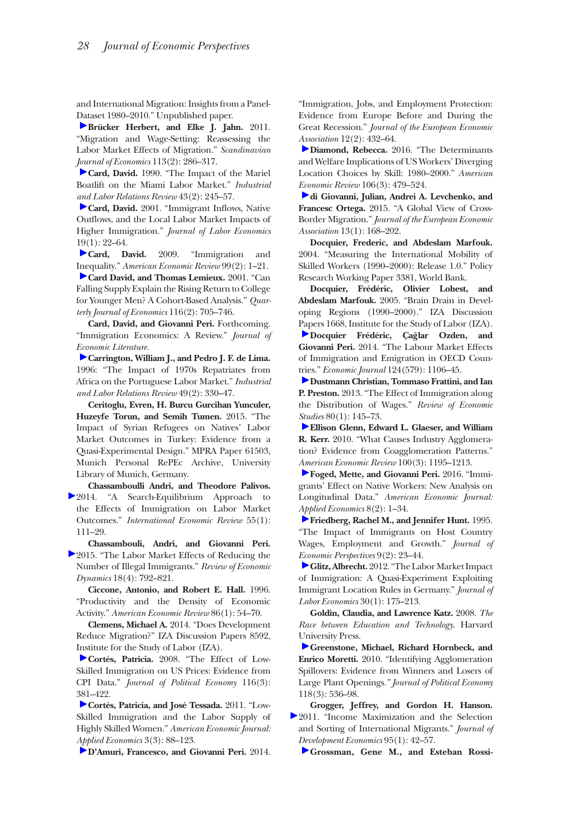and International Migration: Insights from a Panel-[Dat](http://pubs.aeaweb.org/action/showLinks?crossref=10.1111%2Fj.1467-9442.2010.01634.x)aset 1980–2010." Unpublished paper.

**Brücker Herbert, and Elke J. Jahn.** 2011. "Migration and Wage‐Setting: Reassessing the Labor Market Effects of Migration." *Scandinavian [Jou](http://pubs.aeaweb.org/action/showLinks?crossref=10.2307%2F2523702)rnal of Economics* 113(2): 286–317.

**Card, David.** 1990. "The Impact of the Mariel Boatlift on the Miami Labor Market." *Industrial [and](http://pubs.aeaweb.org/action/showLinks?crossref=10.1086%2F209979) Labor Relations Review* 43(2): 245–57.

**Card, David.** 2001. "Immigrant Inflows, Native Outflows, and the Local Labor Market Impacts of Higher Immigration." *Journal of Labor Economics* [19\(](http://pubs.aeaweb.org/action/showLinks?system=10.1257%2Faer.99.2.1)1): 22–64.

**Card, David.** 2009. "Immigration and [Ine](http://pubs.aeaweb.org/action/showLinks?crossref=10.1162%2F00335530151144140)quality." *American Economic Review* 99(2): 1–21.

**Card David, and Thomas Lemieux.** 2001. "Can Falling Supply Explain the Rising Return to College for Younger Men? A Cohort-Based Analysis." *Quarterly Journal of Economics* 116(2): 705–746.

**Card, David, and Giovanni Peri.** Forthcoming. "Immigration Economics: A Review." *Journal of [Eco](http://pubs.aeaweb.org/action/showLinks?crossref=10.1177%2F001979399604900210)nomic Literature.*

**Carrington, William J., and Pedro J. F. de Lima.** 1996: "The Impact of 1970s Repatriates from Africa on the Portuguese Labor Market." *Industrial and Labor Relations Review* 49(2): 330–47.

**Ceritoglu, Evren, H. Burcu Gurcihan Yunculer, Huzeyfe Torun, and Semih Tumen.** 2015. "The Impact of Syrian Refugees on Natives' Labor Market Outcomes in Turkey: Evidence from a Quasi-Experimental Design." MPRA Paper 61503, Munich Personal RePEc Archive, University Library of Munich, Germany.

**Chassamboulli Andri, and Theodore Palivos.** 2014. "A Search-Equilibrium Approach to the Effects of Immigration on Labor Market Outcomes." *International Economic Review* 55(1): 111–29.

**Chassambouli, Andri, and Giovanni Peri.** 2015. "The Labor Market Effects of Reducing the Number of Illegal Immigrants." *Review of Economic Dynamics* 18(4): 792–821.

**Ciccone, Antonio, and Robert E. Hall.** 1996. "Productivity and the Density of Economic Activity." *American Economic Review* 86(1): 54–70.

**Clemens, Michael A.** 2014. "Does Development Reduce Migration?" IZA Discussion Papers 8592, [Ins](http://pubs.aeaweb.org/action/showLinks?crossref=10.1086%2F589756)titute for the Study of Labor (IZA).

**Cortés, Patricia.** 2008. "The Effect of Low-Skilled Immigration on US Prices: Evidence from CPI Data." *Journal of Political Economy* 116(3): [381](http://pubs.aeaweb.org/action/showLinks?system=10.1257%2Fapp.3.3.88)–422.

**Cortés, Patricia, and José Tessada.** 2011. "Low-Skilled Immigration and the Labor Supply of Highly Skilled Women." *American Economic Journal: [App](http://pubs.aeaweb.org/action/showLinks?crossref=10.1111%2Fjeea.12040)lied Economics* 3(3): 88–123.

**D'Amuri, Francesco, and Giovanni Peri.** 2014.

"Immigration, Jobs, and Employment Protection: Evidence from Europe Before and During the Great Recession." *Journal of the European Economic [Ass](http://pubs.aeaweb.org/action/showLinks?system=10.1257%2Faer.20131706)ociation* 12(2): 432–64.

**Diamond, Rebecca.** 2016. "The Determinants and Welfare Implications of US Workers' Diverging Location Choices by Skill: 1980–2000." *American [Eco](http://pubs.aeaweb.org/action/showLinks?crossref=10.1111%2Fjeea.12110)nomic Review* 106(3): 479–524.

**di Giovanni, Julian, Andrei A. Levchenko, and Francesc Ortega.** 2015. "A Global View of Cross-Border Migration." *Journal of the European Economic Association* 13(1): 168–202.

**Docquier, Frederic, and Abdeslam Marfouk.** 2004. "Measuring the International Mobility of Skilled Workers (1990–2000): Release 1.0." Policy Research Working Paper 3381, World Bank.

**Docquier, Frédéric, Olivier Lohest, and Abdeslam Marfouk.** 2005. "Brain Drain in Developing Regions (1990–2000)." IZA Discussion [Pap](http://pubs.aeaweb.org/action/showLinks?crossref=10.1111%2Fecoj.12077)ers 1668, Institute for the Study of Labor (IZA). **Docquier Frédéric, Çağlar Ozden, and Giovanni Peri.** 2014. "The Labour Market Effects of Immigration and Emigration in OECD Coun[trie](http://pubs.aeaweb.org/action/showLinks?crossref=10.1093%2Frestud%2Frds019)s." *Economic Journal* 124(579): 1106–45.

**Dustmann Christian, Tommaso Frattini, and Ian P. Preston.** 2013. "The Effect of Immigration along the Distribution of Wages." *Review of Economic [Stu](http://pubs.aeaweb.org/action/showLinks?system=10.1257%2Faer.100.3.1195)dies* 80(1): 145–73.

**Ellison Glenn, Edward L. Glaeser, and William R. Kerr.** 2010. "What Causes Industry Agglomeration? Evidence from Coagglomeration Patterns." *[Am](http://pubs.aeaweb.org/action/showLinks?system=10.1257%2Fapp.20150114)erican Economic Review* 100(3): 1195–1213.

**Foged, Mette, and Giovanni Peri.** 2016. "Immigrants' Effect on Native Workers: New Analysis on Longitudinal Data." *American Economic Journal: [App](http://pubs.aeaweb.org/action/showLinks?system=10.1257%2Fjep.9.2.23)lied Economics* 8(2): 1–34.

**Friedberg, Rachel M., and Jennifer Hunt.** 1995. "The Impact of Immigrants on Host Country Wages, Employment and Growth." *Journal of [Eco](http://pubs.aeaweb.org/action/showLinks?crossref=10.1086%2F662143)nomic Perspectives* 9(2): 23–44.

**Glitz, Albrecht.**2012. "The Labor Market Impact of Immigration: A Quasi-Experiment Exploiting Immigrant Location Rules in Germany." *Journal of Labor Economics* 30(1): 175–213.

**Goldin, Claudia, and Lawrence Katz.** 2008. *The Race between Education and Technology*. Harvard [Un](http://pubs.aeaweb.org/action/showLinks?crossref=10.1086%2F653714)iversity Press.

**Greenstone, Michael, Richard Hornbeck, and Enrico Moretti.** 2010. "Identifying Agglomeration Spillovers: Evidence from Winners and Losers of Large Plant Openings*." Journal of Political Economy* 118(3): 536–98.

**Grogger, Jeffrey, and Gordon H. Hanson.** [2](http://pubs.aeaweb.org/action/showLinks?crossref=10.1016%2Fj.jdeveco.2010.06.003)011. "Income Maximization and the Selection and Sorting of International Migrants." *Journal of [Dev](http://pubs.aeaweb.org/action/showLinks?system=10.1257%2Faer.98.5.1978)elopment Economics* 95(1): 42–57.

**Grossman, Gene M., and Esteban Rossi-**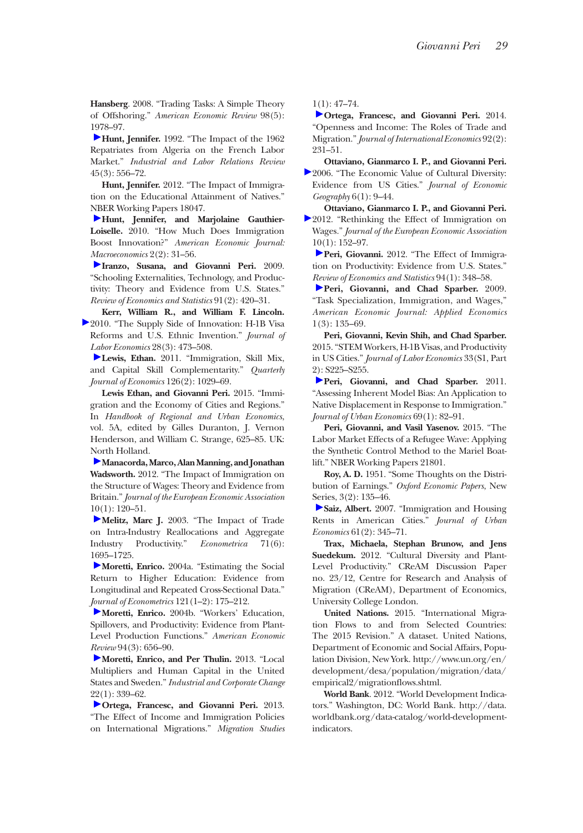**Hansberg**. 2008. "Trading Tasks: A Simple Theory of Offshoring." *American Economic Review* 98(5): [197](http://pubs.aeaweb.org/action/showLinks?crossref=10.1177%2F001979399204500310)8–97.

**Hunt, Jennifer.** 1992. "The Impact of the 1962 Repatriates from Algeria on the French Labor Market." *Industrial and Labor Relations Review* 45(3): 556–72.

**Hunt, Jennifer.** 2012. "The Impact of Immigration on the Educational Attainment of Natives." [NB](http://pubs.aeaweb.org/action/showLinks?system=10.1257%2Fmac.2.2.31)ER Working Papers 18047.

**Hunt, Jennifer, and Marjolaine Gauthier-Loiselle.** 2010. "How Much Does Immigration Boost Innovation?" *American Economic Journal: [Ma](http://pubs.aeaweb.org/action/showLinks?crossref=10.1162%2Frest.91.2.420)croeconomics* 2(2): 31–56.

**Iranzo, Susana, and Giovanni Peri.** 2009. "Schooling Externalities, Technology, and Productivity: Theory and Evidence from U.S. States." *Review of Economics and Statistics* 91(2): 420–31.

**Kerr, William R., and William F. Lincoln.** [2](http://pubs.aeaweb.org/action/showLinks?crossref=10.1086%2F651934)010. "The Supply Side of Innovation: H-1B Visa Reforms and U.S. Ethnic Invention." *Journal of [Lab](http://pubs.aeaweb.org/action/showLinks?crossref=10.1093%2Fqje%2Fqjr011)or Economics* 28(3): 473–508.

**Lewis, Ethan.** 2011. "Immigration, Skill Mix, and Capital Skill Complementarity." *Quarterly Journal of Economics* 126(2): 1029–69.

**Lewis Ethan, and Giovanni Peri.** 2015. "Immigration and the Economy of Cities and Regions." In *Handbook of Regional and Urban Economics*, vol. 5A, edited by Gilles Duranton, J. Vernon Henderson, and William C. Strange, 625–85. UK: [No](http://pubs.aeaweb.org/action/showLinks?crossref=10.1111%2Fj.1542-4774.2011.01049.x)rth Holland.

**Manacorda, Marco, Alan Manning, and Jonathan Wadsworth.** 2012. "The Impact of Immigration on the Structure of Wages: Theory and Evidence from Britain." *Journal of the European Economic Association*  [10\(](http://pubs.aeaweb.org/action/showLinks?crossref=10.1111%2F1468-0262.00467)1): 120–51.

**Melitz, Marc J.** 2003. "The Impact of Trade on Intra-Industry Reallocations and Aggregate Industry Productivity." *Econometrica* 71(6): [169](http://pubs.aeaweb.org/action/showLinks?crossref=10.1016%2Fj.jeconom.2003.10.015)5–1725.

**Moretti, Enrico.** 2004a. "Estimating the Social Return to Higher Education: Evidence from Longitudinal and Repeated Cross-Sectional Data." *[Jou](http://pubs.aeaweb.org/action/showLinks?system=10.1257%2F0002828041464623)rnal of Econometrics* 121(1–2): 175–212.

**Moretti, Enrico.** 2004b. "Workers' Education, Spillovers, and Productivity: Evidence from Plant-Level Production Functions." *American Economic [Rev](http://pubs.aeaweb.org/action/showLinks?crossref=10.1093%2Ficc%2Fdts051)iew* 94(3): 656–90.

Moretti, Enrico, and Per Thulin. 2013. "Local Multipliers and Human Capital in the United States and Sweden." *Industrial and Corporate Change*  [22\(](http://pubs.aeaweb.org/action/showLinks?crossref=10.1093%2Fmigration%2Fmns004)1): 339–62.

**Ortega, Francesc, and Giovanni Peri.** 2013. "The Effect of Income and Immigration Policies on International Migrations." *Migration Studies* [1\(1](http://pubs.aeaweb.org/action/showLinks?crossref=10.1016%2Fj.jinteco.2013.11.008)): 47–74.

**Ortega, Francesc, and Giovanni Peri.** 2014. "Openness and Income: The Roles of Trade and Migration." *Journal of International Economics* 92(2): 231–51.

**Ottaviano, Gianmarco I. P., and Giovanni Peri.** [2](http://pubs.aeaweb.org/action/showLinks?crossref=10.1093%2Fjeg%2Flbi002)006. "The Economic Value of Cultural Diversity: Evidence from US Cities." *Journal of Economic Geography* 6(1): 9–44.

**Ottaviano, Gianmarco I. P., and Giovanni Peri.** [2](http://pubs.aeaweb.org/action/showLinks?crossref=10.1111%2Fj.1542-4774.2011.01052.x)012. "Rethinking the Effect of Immigration on Wages*.*" *Journal of the European Economic Association* [10\(](http://pubs.aeaweb.org/action/showLinks?crossref=10.1162%2FREST_a_00137)1): 152–97.

Peri, Giovanni. 2012. "The Effect of Immigration on Productivity: Evidence from U.S. States.' *[Rev](http://pubs.aeaweb.org/action/showLinks?system=10.1257%2Fapp.1.3.135)iew of Economics and Statistics* 94(1): 348–58.

Peri, Giovanni, and Chad Sparber. 2009. "Task Specialization, Immigration, and Wages," *American Economic Journal: Applied Economics* 1(3): 135–69.

**Peri, Giovanni, Kevin Shih, and Chad Sparber.** 2015. "STEM Workers, H-1B Visas, and Productivity in US Cities." *Journal of Labor Economics* 33(S1, Part [2\):](http://pubs.aeaweb.org/action/showLinks?crossref=10.1016%2Fj.jue.2010.08.005) S225–S255.

Peri, Giovanni, and Chad Sparber. 2011. "Assessing Inherent Model Bias: An Application to Native Displacement in Response to Immigration." *Journal of Urban Economics* 69(1): 82–91.

**Peri, Giovanni, and Vasil Yasenov.** 2015. "The Labor Market Effects of a Refugee Wave: Applying the Synthetic Control Method to the Mariel Boatlift." NBER Working Papers 21801.

**Roy, A. D.** 1951. "Some Thoughts on the Distribution of Earnings." *Oxford Economic Papers*, New [Ser](http://pubs.aeaweb.org/action/showLinks?crossref=10.1016%2Fj.jue.2006.07.004)ies, 3(2): 135–46.

**Saiz, Albert.** 2007. "Immigration and Housing Rents in American Cities." *Journal of Urban Economics* 61(2): 345–71.

**Trax, Michaela, Stephan Brunow, and Jens Suedekum.** 2012. "Cultural Diversity and Plant-Level Productivity." CReAM Discussion Paper no. 23/12, Centre for Research and Analysis of Migration (CReAM), Department of Economics, University College London.

**United Nations.** 2015. "International Migration Flows to and from Selected Countries: The 2015 Revision." A dataset. United Nations, Department of Economic and Social Affairs, Popu[lation Division, New York. http://www.un.org/en/](http://www.un.org/en/development/desa/population/migration/data/empirical2/migrationflows.shtml) development/desa/population/migration/data/ empirical2/migrationflows.shtml.

**World Bank**. 2012. "World Development Indicators." Washington, DC: World Bank. [http://data.](http://data.worldbank.org/data-catalog/world-development-indicators) [worldbank.org/data-catalog/world-development](http://data.worldbank.org/data-catalog/world-development-indicators)[indicators.](http://data.worldbank.org/data-catalog/world-development-indicators)